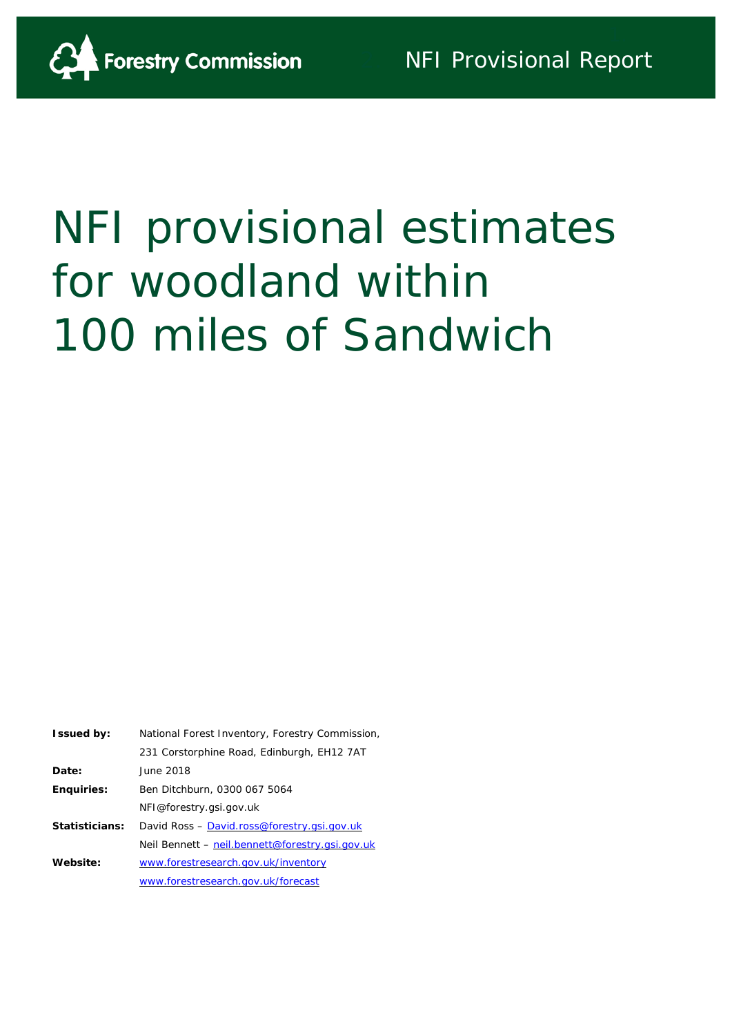

# NFI provisional estimates for woodland within 100 miles of Sandwich

| <b>Issued by:</b> | National Forest Inventory, Forestry Commission, |
|-------------------|-------------------------------------------------|
|                   | 231 Corstorphine Road, Edinburgh, EH12 7AT      |
| Date:             | June 2018                                       |
| <b>Enguiries:</b> | Ben Ditchburn, 0300 067 5064                    |
|                   | NFI@forestry.gsi.gov.uk                         |
| Statisticians:    | David Ross - David.ross@forestry.gsi.gov.uk     |
|                   | Neil Bennett – neil.bennett@forestry.gsi.gov.uk |
| Website:          | www.forestresearch.gov.uk/inventory             |
|                   | www.forestresearch.gov.uk/forecast              |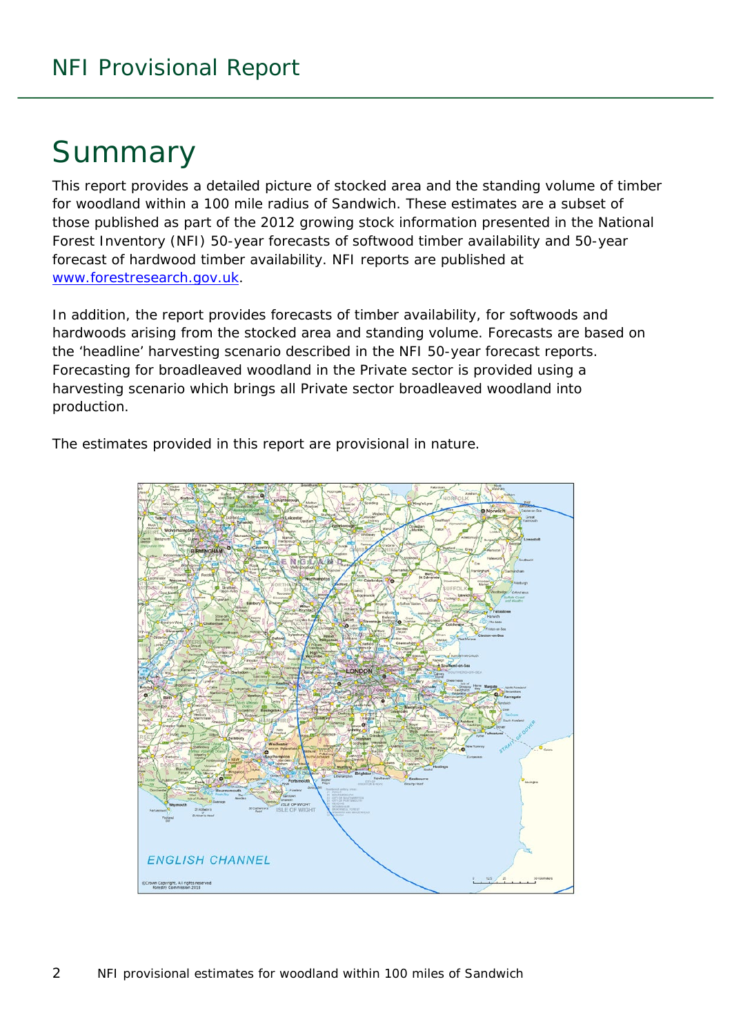## Summary

This report provides a detailed picture of stocked area and the standing volume of timber for woodland within a 100 mile radius of Sandwich. These estimates are a subset of those published as part of the 2012 growing stock information presented in the National Forest Inventory (NFI) *50-year forecasts of softwood timber availability* and *50-year forecast of hardwood timber availability*. NFI reports are published at [www.forestresearch.gov.uk.](http://www.forestresearch.gov.uk/)

In addition, the report provides forecasts of timber availability, for softwoods and hardwoods arising from the stocked area and standing volume. Forecasts are based on the 'headline' harvesting scenario described in the NFI 50-year forecast reports. Forecasting for broadleaved woodland in the Private sector is provided using a harvesting scenario which brings all Private sector broadleaved woodland into production.

The estimates provided in this report are provisional in nature.

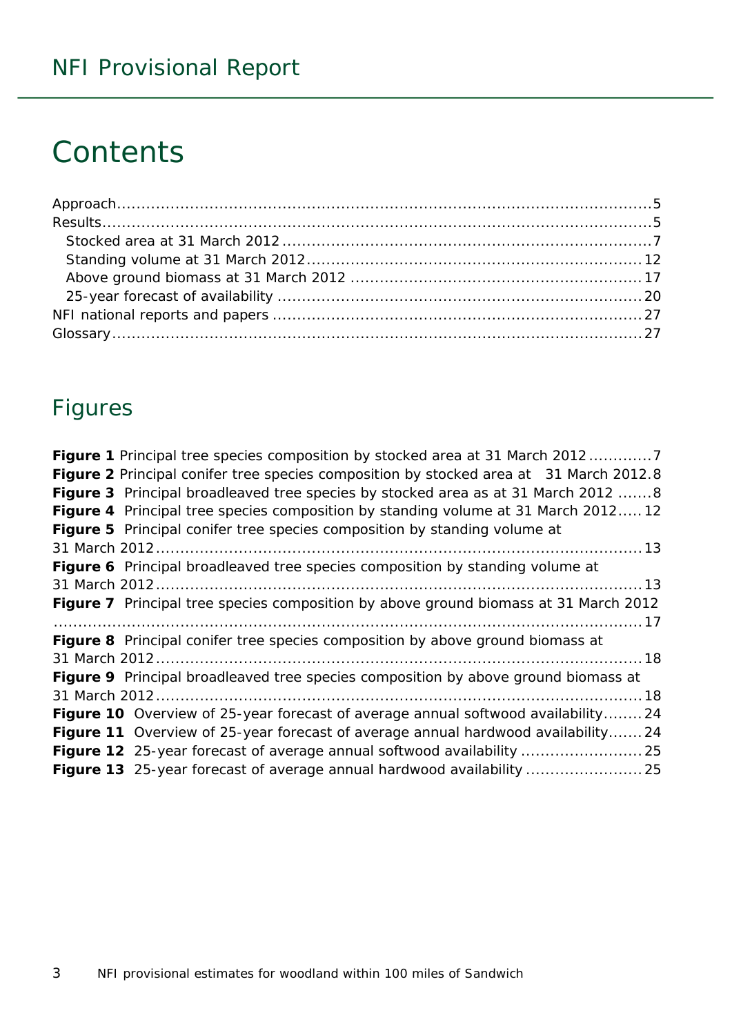## **Contents**

## Figures

| <b>Figure 1</b> Principal tree species composition by stocked area at 31 March 20127      |
|-------------------------------------------------------------------------------------------|
| Figure 2 Principal conifer tree species composition by stocked area at 31 March 2012.8    |
| Figure 3 Principal broadleaved tree species by stocked area as at 31 March 2012 8         |
| Figure 4 Principal tree species composition by standing volume at 31 March 201212         |
| Figure 5 Principal conifer tree species composition by standing volume at                 |
|                                                                                           |
| Figure 6 Principal broadleaved tree species composition by standing volume at             |
|                                                                                           |
| Figure 7 Principal tree species composition by above ground biomass at 31 March 2012      |
|                                                                                           |
| Figure 8 Principal conifer tree species composition by above ground biomass at            |
|                                                                                           |
| <b>Figure 9</b> Principal broadleaved tree species composition by above ground biomass at |
|                                                                                           |
| Figure 10 Overview of 25-year forecast of average annual softwood availability 24         |
| Figure 11 Overview of 25-year forecast of average annual hardwood availability 24         |
| Figure 12 25-year forecast of average annual softwood availability  25                    |
|                                                                                           |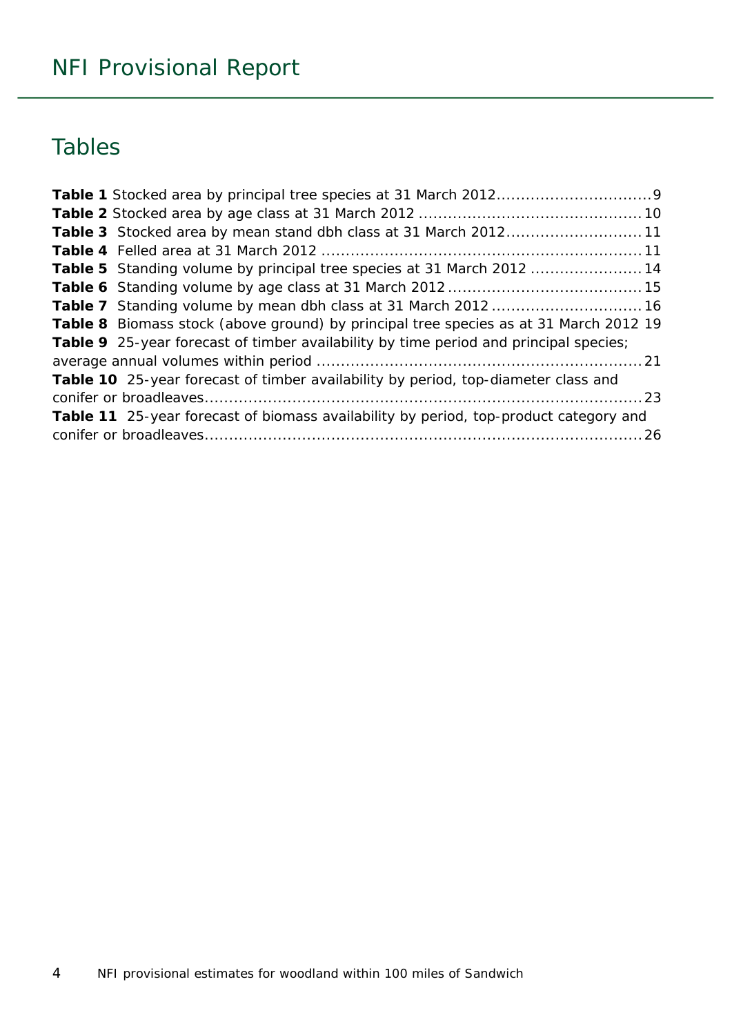## NFI Provisional Report

## Tables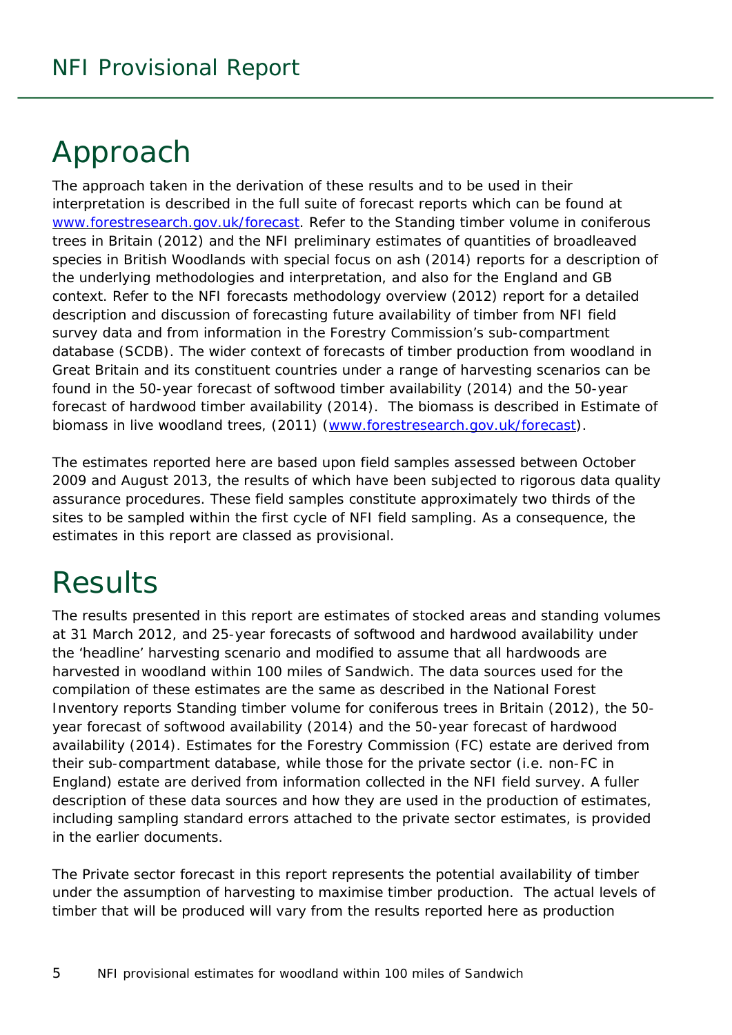## <span id="page-4-0"></span>Approach

The approach taken in the derivation of these results and to be used in their interpretation is described in the full suite of forecast reports which can be found at [www.forestresearch.gov.uk/forecast.](http://www.forestresearch.gov.uk/forecast) Refer to the *Standing timber volume in coniferous trees in Britain* (2012) and the *NFI preliminary estimates of quantities of broadleaved species in British Woodlands with special focus on ash* (2014) reports for a description of the underlying methodologies and interpretation, and also for the England and GB context. Refer to the *NFI forecasts methodology overview* (2012) report for a detailed description and discussion of forecasting future availability of timber from NFI field survey data and from information in the Forestry Commission's sub-compartment database (SCDB). The wider context of forecasts of timber production from woodland in Great Britain and its constituent countries under a range of harvesting scenarios can be found in the *50-year forecast of softwood timber availability* (2014) and the *50-year forecast of hardwood timber availability* (2014). The biomass is described in *Estimate of biomass in live woodland trees*, (2011) [\(www.forestresearch.gov.uk/forecast\)](http://www.forestresearch.gov.uk/forecast).

The estimates reported here are based upon field samples assessed between October 2009 and August 2013, the results of which have been subjected to rigorous data quality assurance procedures. These field samples constitute approximately two thirds of the sites to be sampled within the first cycle of NFI field sampling. As a consequence, the estimates in this report are classed as provisional.

## <span id="page-4-1"></span>**Results**

The results presented in this report are estimates of stocked areas and standing volumes at 31 March 2012, and 25-year forecasts of softwood and hardwood availability under the 'headline' harvesting scenario and modified to assume that all hardwoods are harvested in woodland within 100 miles of Sandwich. The data sources used for the compilation of these estimates are the same as described in the National Forest Inventory reports *Standing timber volume for coniferous trees in Britain* (2012), the *50 year forecast of softwood availability* (2014) and the *50-year forecast of hardwood availability* (2014). Estimates for the Forestry Commission (FC) estate are derived from their sub-compartment database, while those for the private sector (i.e. non-FC in England) estate are derived from information collected in the NFI field survey. A fuller description of these data sources and how they are used in the production of estimates, including sampling standard errors attached to the private sector estimates, is provided in the earlier documents.

The Private sector forecast in this report represents the potential availability of timber under the assumption of harvesting to maximise timber production. The actual levels of timber that will be produced will vary from the results reported here as production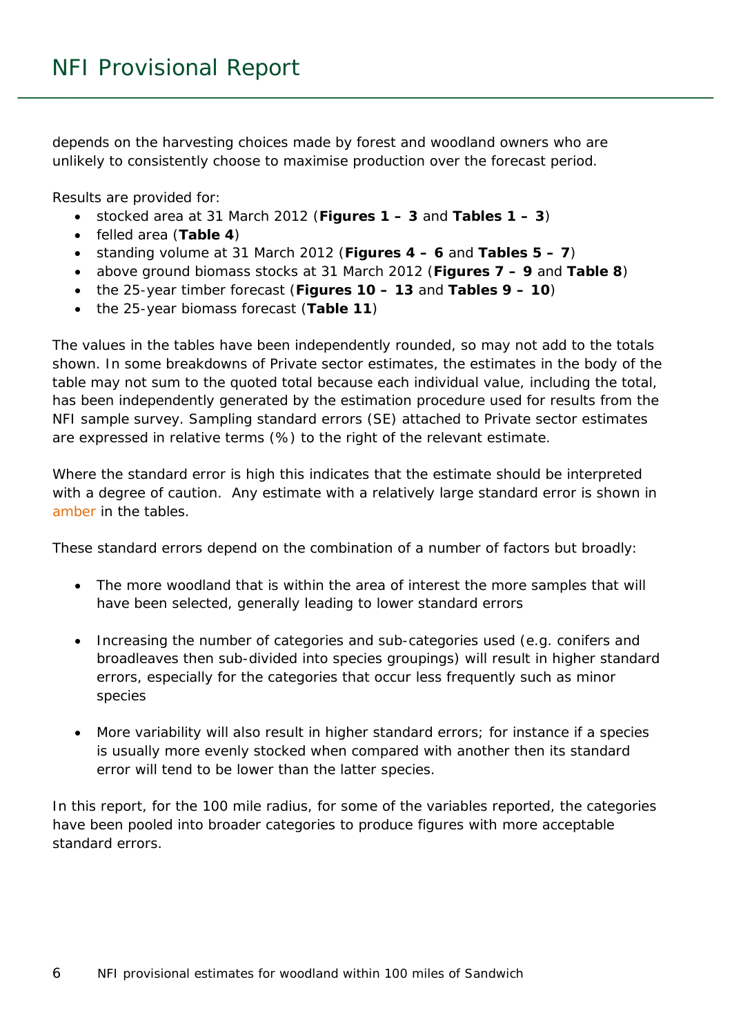depends on the harvesting choices made by forest and woodland owners who are unlikely to consistently choose to maximise production over the forecast period.

Results are provided for:

- stocked area at 31 March 2012 (**Figures 1 – 3** and **Tables 1 – 3**)
- felled area (**Table 4**)
- standing volume at 31 March 2012 (**Figures 4 – 6** and **Tables 5 – 7**)
- above ground biomass stocks at 31 March 2012 (**Figures 7 – 9** and **Table 8**)
- the 25-year timber forecast (**Figures 10 – 13** and **Tables 9 – 10**)
- the 25-year biomass forecast (**Table 11**)

The values in the tables have been independently rounded, so may not add to the totals shown. In some breakdowns of Private sector estimates, the estimates in the body of the table may not sum to the quoted total because each individual value, including the total, has been independently generated by the estimation procedure used for results from the NFI sample survey. Sampling standard errors (SE) attached to Private sector estimates are expressed in relative terms (%) to the right of the relevant estimate.

Where the standard error is high this indicates that the estimate should be interpreted with a degree of caution. Any estimate with a relatively large standard error is shown in amber in the tables.

These standard errors depend on the combination of a number of factors but broadly:

- The more woodland that is within the area of interest the more samples that will have been selected, generally leading to lower standard errors
- Increasing the number of categories and sub-categories used (e.g. conifers and broadleaves then sub-divided into species groupings) will result in higher standard errors, especially for the categories that occur less frequently such as minor species
- More variability will also result in higher standard errors; for instance if a species is usually more evenly stocked when compared with another then its standard error will tend to be lower than the latter species.

In this report, for the 100 mile radius, for some of the variables reported, the categories have been pooled into broader categories to produce figures with more acceptable standard errors.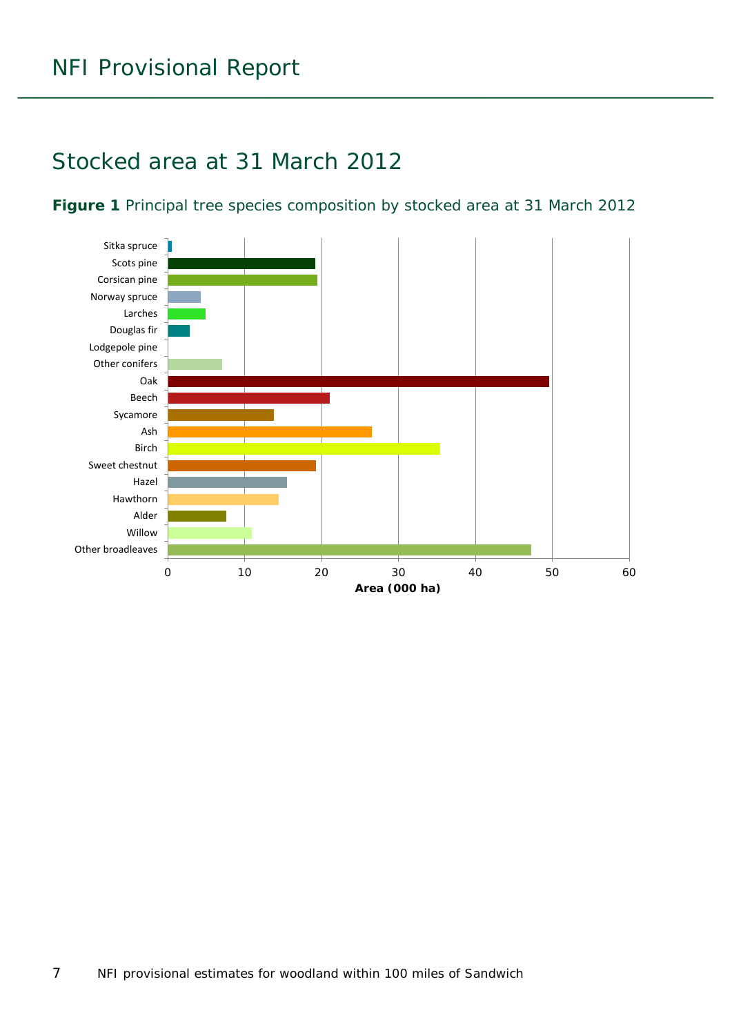## NFI Provisional Report

## <span id="page-6-0"></span>Stocked area at 31 March 2012

#### <span id="page-6-1"></span>**Figure 1** Principal tree species composition by stocked area at 31 March 2012

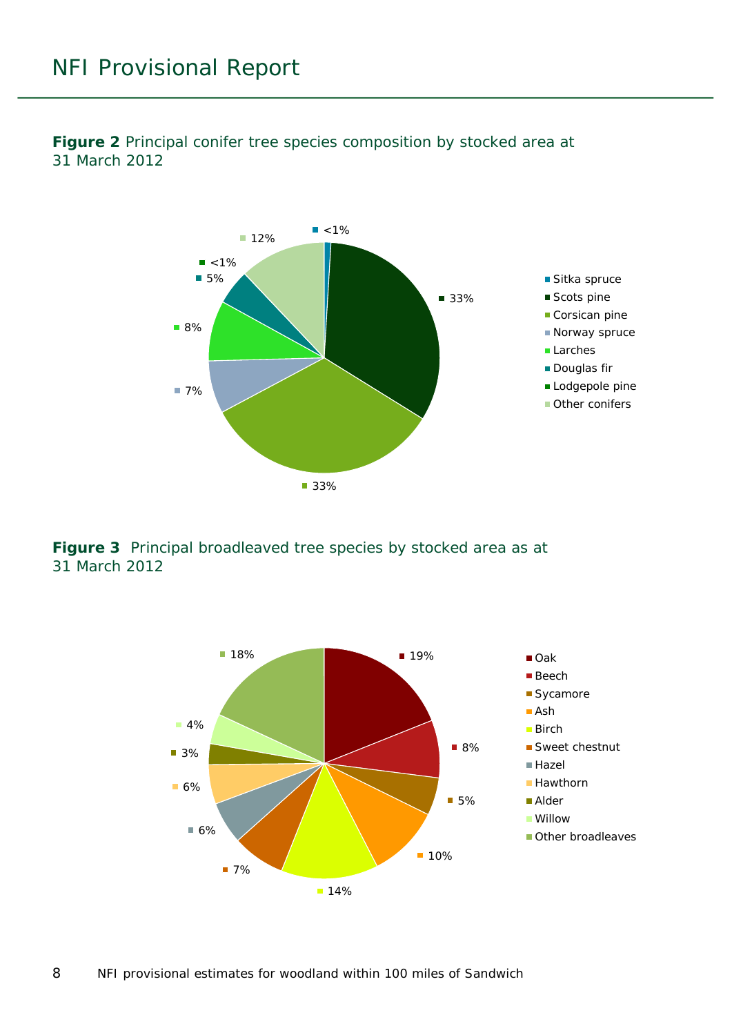

<span id="page-7-0"></span>**Figure 2** Principal conifer tree species composition by stocked area at 31 March 2012

<span id="page-7-1"></span>**Figure 3** Principal broadleaved tree species by stocked area as at 31 March 2012

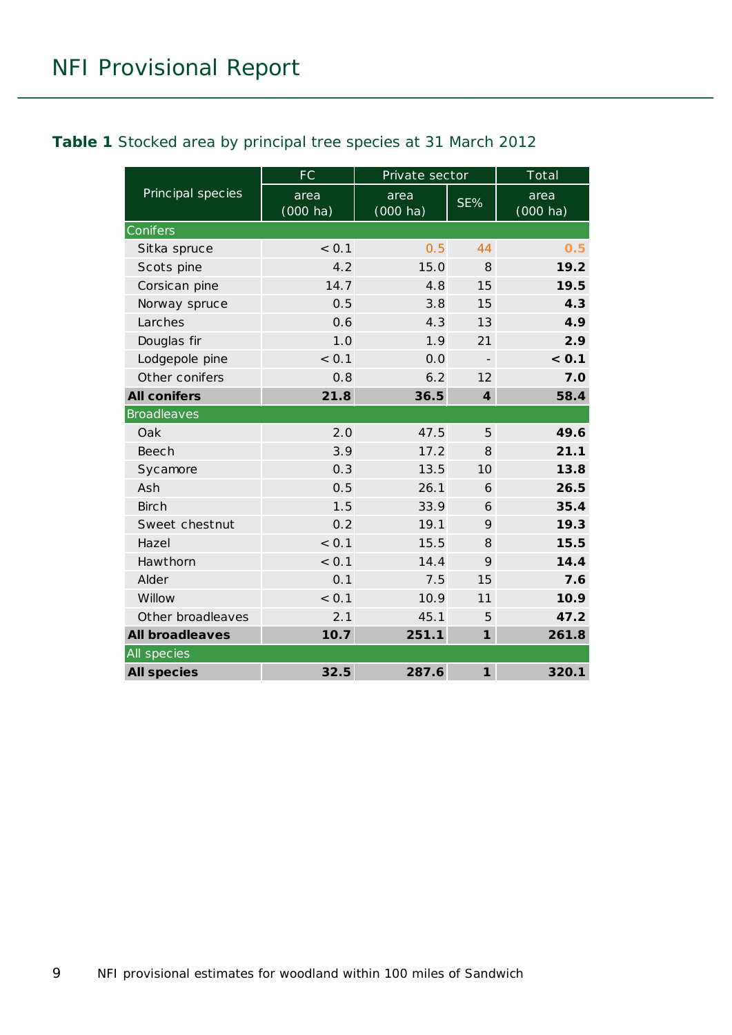#### <span id="page-8-0"></span>**Table 1** Stocked area by principal tree species at 31 March 2012

|                        | <b>FC</b>                  | Private sector             |                  | Total              |
|------------------------|----------------------------|----------------------------|------------------|--------------------|
| Principal species      | area<br>$(000 \text{ ha})$ | area<br>$(000 \text{ ha})$ | SE%              | area<br>$(000$ ha) |
| Conifers               |                            |                            |                  |                    |
| Sitka spruce           | < 0.1                      | 0.5                        | 44               | 0.5                |
| Scots pine             | 4.2                        | 15.0                       | 8                | 19.2               |
| Corsican pine          | 14.7                       | 4.8                        | 15               | 19.5               |
| Norway spruce          | 0.5                        | 3.8                        | 15               | 4.3                |
| Larches                | 0.6                        | 4.3                        | 13               | 4.9                |
| Douglas fir            | 1.0                        | 1.9                        | 21               | 2.9                |
| Lodgepole pine         | < 0.1                      | 0.0                        |                  | < 0.1              |
| Other conifers         | 0.8                        | 6.2                        | 12               | 7.0                |
| <b>All conifers</b>    | 21.8                       | 36.5                       | $\boldsymbol{4}$ | 58.4               |
| <b>Broadleaves</b>     |                            |                            |                  |                    |
| Oak                    | 2.0                        | 47.5                       | 5                | 49.6               |
| <b>Beech</b>           | 3.9                        | 17.2                       | 8                | 21.1               |
| Sycamore               | 0.3                        | 13.5                       | 10 <sup>2</sup>  | 13.8               |
| Ash                    | 0.5                        | 26.1                       | 6                | 26.5               |
| <b>Birch</b>           | 1.5                        | 33.9                       | 6                | 35.4               |
| Sweet chestnut         | 0.2                        | 19.1                       | 9                | 19.3               |
| Hazel                  | < 0.1                      | 15.5                       | 8                | 15.5               |
| Hawthorn               | < 0.1                      | 14.4                       | 9                | 14.4               |
| Alder                  | 0.1                        | 7.5                        | 15               | 7.6                |
| Willow                 | < 0.1                      | 10.9                       | 11               | 10.9               |
| Other broadleaves      | 2.1                        | 45.1                       | 5                | 47.2               |
| <b>All broadleaves</b> | 10.7                       | 251.1                      | $\mathbf{1}$     | 261.8              |
| All species            |                            |                            |                  |                    |
| <b>All species</b>     | 32.5                       | 287.6                      | $\mathbf{1}$     | 320.1              |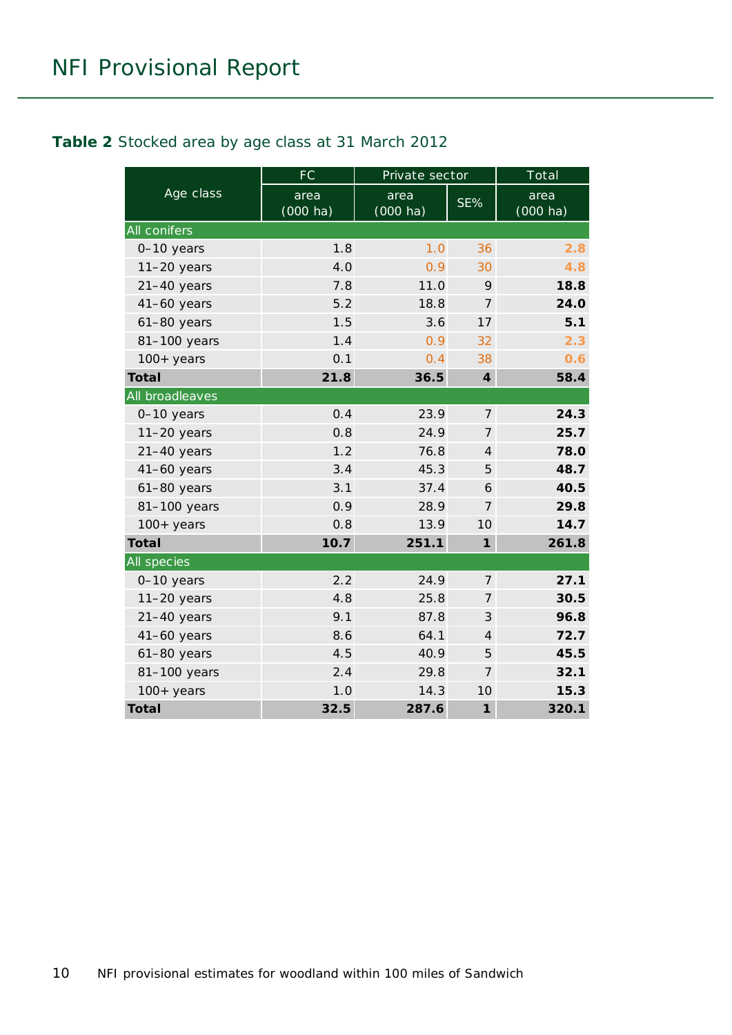#### <span id="page-9-0"></span>**Table 2** Stocked area by age class at 31 March 2012

|                 | FC                         | Private sector             |                  | Total                      |
|-----------------|----------------------------|----------------------------|------------------|----------------------------|
| Age class       | area<br>$(000 \text{ ha})$ | area<br>$(000 \text{ ha})$ | SE%              | area<br>$(000 \text{ ha})$ |
| All conifers    |                            |                            |                  |                            |
| 0-10 years      | 1.8                        | 1.0                        | 36               | 2.8                        |
| $11-20$ years   | 4.0                        | 0.9                        | 30               | 4.8                        |
| $21-40$ years   | 7.8                        | 11.0                       | 9                | 18.8                       |
| $41-60$ years   | 5.2                        | 18.8                       | $\overline{7}$   | 24.0                       |
| $61-80$ years   | 1.5                        | 3.6                        | 17               | 5.1                        |
| 81-100 years    | 1.4                        | 0.9                        | 32               | 2.3                        |
| $100+years$     | 0.1                        | 0.4                        | 38               | 0.6                        |
| <b>Total</b>    | 21.8                       | 36.5                       | $\boldsymbol{4}$ | 58.4                       |
| All broadleaves |                            |                            |                  |                            |
| 0-10 years      | 0.4                        | 23.9                       | $\overline{7}$   | 24.3                       |
| $11-20$ years   | 0.8                        | 24.9                       | $\overline{7}$   | 25.7                       |
| $21-40$ years   | 1.2                        | 76.8                       | $\overline{4}$   | 78.0                       |
| 41-60 years     | 3.4                        | 45.3                       | 5                | 48.7                       |
| $61-80$ years   | 3.1                        | 37.4                       | 6                | 40.5                       |
| 81-100 years    | 0.9                        | 28.9                       | 7                | 29.8                       |
| $100+years$     | 0.8                        | 13.9                       | 10               | 14.7                       |
| <b>Total</b>    | 10.7                       | 251.1                      | $\mathbf{1}$     | 261.8                      |
| All species     |                            |                            |                  |                            |
| 0-10 years      | 2.2                        | 24.9                       | $\overline{7}$   | 27.1                       |
| $11-20$ years   | 4.8                        | 25.8                       | 7                | 30.5                       |
| $21-40$ years   | 9.1                        | 87.8                       | 3                | 96.8                       |
| 41-60 years     | 8.6                        | 64.1                       | $\overline{4}$   | 72.7                       |
| $61-80$ years   | 4.5                        | 40.9                       | 5                | 45.5                       |
| 81-100 years    | 2.4                        | 29.8                       | $\overline{7}$   | 32.1                       |
| $100+$ years    | 1.0                        | 14.3                       | 10               | 15.3                       |
| <b>Total</b>    | 32.5                       | 287.6                      | $\mathbf{1}$     | 320.1                      |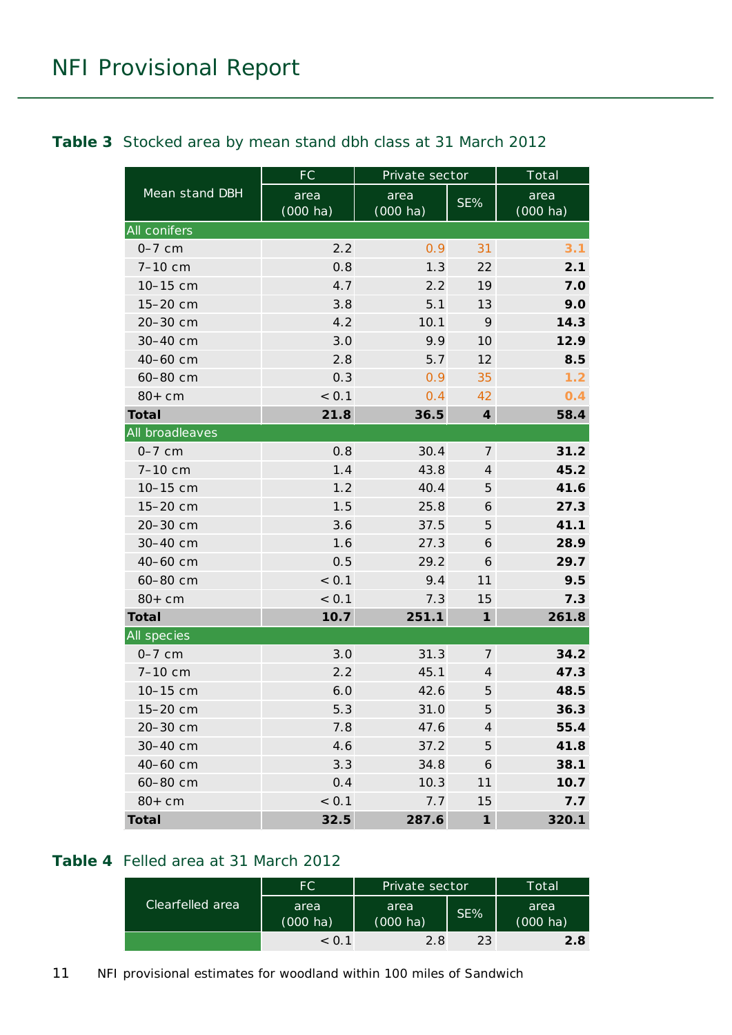#### <span id="page-10-0"></span>**Table 3** Stocked area by mean stand dbh class at 31 March 2012

|                     | <b>FC</b>                  | Private sector             |                            | Total                      |
|---------------------|----------------------------|----------------------------|----------------------------|----------------------------|
| Mean stand DBH      | area<br>$(000 \text{ ha})$ | area<br>$(000 \text{ ha})$ | $SE\%$                     | area<br>$(000 \text{ ha})$ |
| <b>All conifers</b> |                            |                            |                            |                            |
| $0-7$ cm            | 2.2                        | 0.9                        | 31                         | 3.1                        |
| 7-10 cm             | 0.8                        | 1.3                        | 22                         | 2.1                        |
| 10-15 cm            | 4.7                        | 2.2                        | 19                         | 7.0                        |
| 15-20 cm            | 3.8                        | 5.1                        | 13                         | 9.0                        |
| 20-30 cm            | 4.2                        | 10.1                       | 9                          | 14.3                       |
| 30-40 cm            | 3.0                        | 9.9                        | 10                         | 12.9                       |
| 40-60 cm            | 2.8                        | 5.7                        | 12                         | 8.5                        |
| 60-80 cm            | 0.3                        | 0.9                        | 35                         | 1.2                        |
| $80+cm$             | < 0.1                      | 0.4                        | 42                         | 0.4                        |
| <b>Total</b>        | 21.8                       | 36.5                       | $\boldsymbol{4}$           | 58.4                       |
| All broadleaves     |                            |                            |                            |                            |
| $0-7$ cm            | 0.8                        | 30.4                       | 7                          | 31.2                       |
| 7-10 cm             | 1.4                        | 43.8                       | $\overline{4}$             | 45.2                       |
| 10-15 cm            | 1.2                        | 40.4                       | 5                          | 41.6                       |
| 15-20 cm            | 1.5                        | 25.8                       | 6                          | 27.3                       |
| 20-30 cm            | 3.6                        | 37.5                       | 5                          | 41.1                       |
| 30-40 cm            | 1.6                        | 27.3                       | 6                          | 28.9                       |
| 40-60 cm            | 0.5                        | 29.2                       | 6                          | 29.7                       |
| 60-80 cm            | < 0.1                      | 9.4                        | 11                         | 9.5                        |
| $80+cm$             | < 0.1                      | 7.3                        | 15                         | 7.3                        |
| <b>Total</b>        | 10.7                       | 251.1                      | $\mathbf{1}$               | 261.8                      |
| All species         |                            |                            |                            |                            |
| $0-7$ cm            | 3.0                        | 31.3                       | $\overline{7}$             | 34.2                       |
| 7-10 cm             | 2.2                        | 45.1                       | $\overline{4}$             | 47.3                       |
| 10-15 cm            | 6.0                        | 42.6                       | $\sqrt{5}$                 | 48.5                       |
| 15-20 cm            | 5.3                        | 31.0                       | $\sqrt{5}$                 | 36.3                       |
| 20-30 cm            | 7.8                        | 47.6                       | $\sqrt{4}$                 | 55.4                       |
| 30-40 cm            | 4.6                        | 37.2                       | 5                          | 41.8                       |
| 40-60 cm            | 3.3                        | 34.8                       | 6                          | 38.1                       |
| 60-80 cm            | 0.4                        | 10.3                       | 11                         | 10.7                       |
| $80+cm$             | < 0.1                      | 7.7                        | 15                         | 7.7                        |
| <b>Total</b>        | 32.5                       | 287.6                      | $\boldsymbol{\mathcal{I}}$ | 320.1                      |

#### <span id="page-10-1"></span>**Table 4** Felled area at 31 March 2012

|                  | FC.                        | Private sector             |     | Total                      |
|------------------|----------------------------|----------------------------|-----|----------------------------|
| Clearfelled area | area<br>$(000 \text{ ha})$ | area<br>$(000 \text{ ha})$ | SE% | area<br>$(000 \text{ ha})$ |
|                  | < 0.1                      | 2.8                        | 23  | 2.8                        |

11 NFI provisional estimates for woodland within 100 miles of Sandwich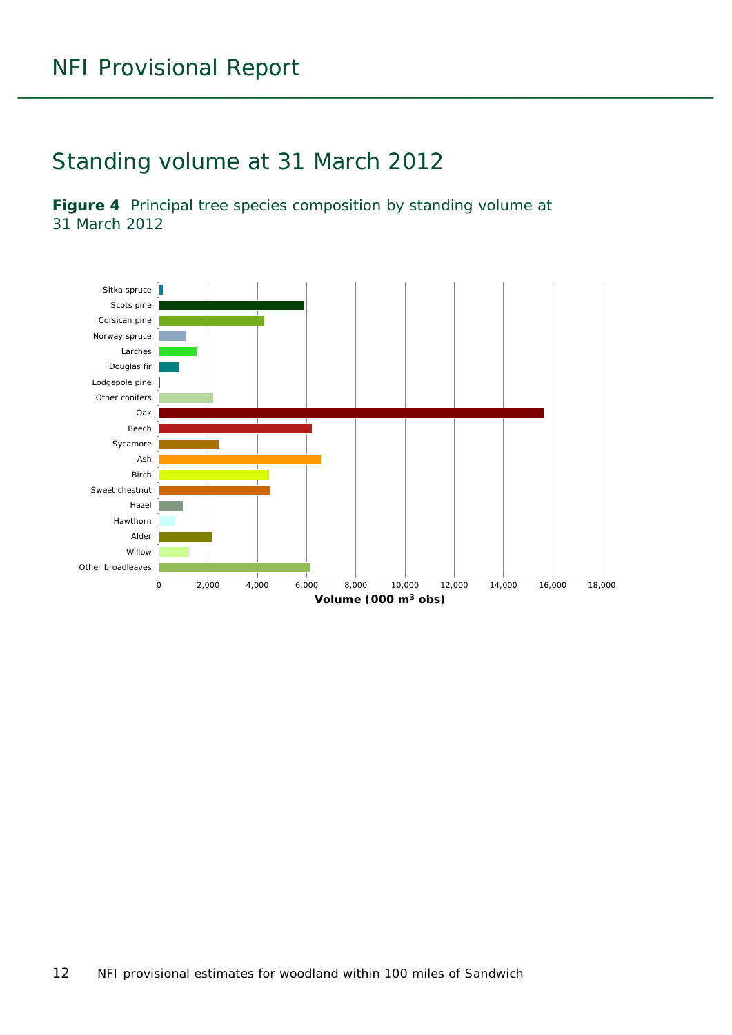### <span id="page-11-0"></span>Standing volume at 31 March 2012

<span id="page-11-1"></span>**Figure 4** Principal tree species composition by standing volume at 31 March 2012

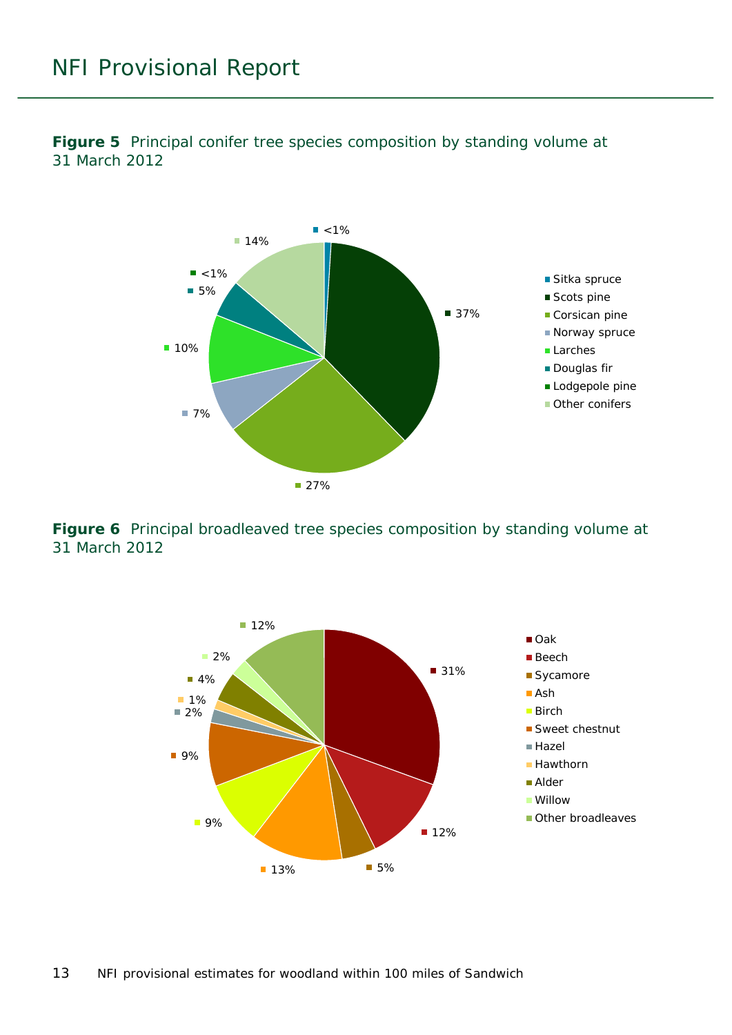<span id="page-12-0"></span>**Figure 5** Principal conifer tree species composition by standing volume at 31 March 2012



<span id="page-12-1"></span>**Figure 6** Principal broadleaved tree species composition by standing volume at 31 March 2012

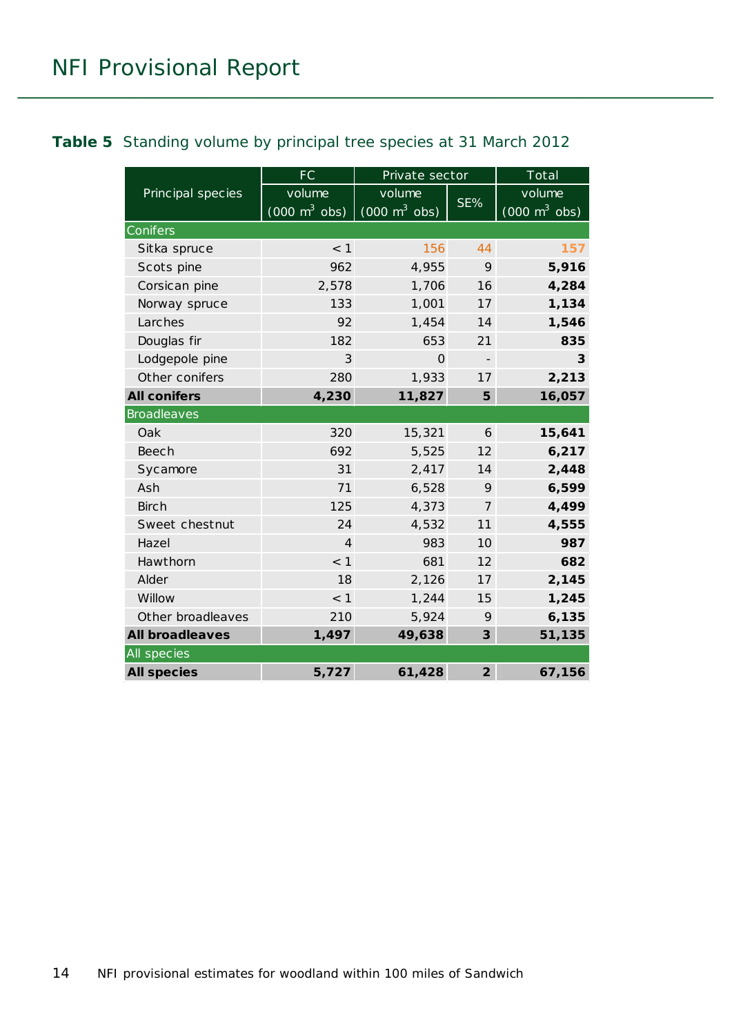#### <span id="page-13-0"></span>**Table 5** Standing volume by principal tree species at 31 March 2012

|                        | <b>FC</b>                           | Private sector                      |                          | Total                               |
|------------------------|-------------------------------------|-------------------------------------|--------------------------|-------------------------------------|
| Principal species      | volume                              | volume                              | SE%                      | volume                              |
|                        | $(000 \; \text{m}^3 \; \text{obs})$ | $(000 \; \text{m}^3 \; \text{obs})$ |                          | $(000 \; \text{m}^3 \; \text{obs})$ |
| Conifers               |                                     |                                     |                          |                                     |
| Sitka spruce           | < 1                                 | 156                                 | 44                       | 157                                 |
| Scots pine             | 962                                 | 4,955                               | 9                        | 5,916                               |
| Corsican pine          | 2,578                               | 1,706                               | 16                       | 4,284                               |
| Norway spruce          | 133                                 | 1,001                               | 17                       | 1,134                               |
| Larches                | 92                                  | 1,454                               | 14                       | 1,546                               |
| Douglas fir            | 182                                 | 653                                 | 21                       | 835                                 |
| Lodgepole pine         | 3                                   | $\Omega$                            | $\overline{\phantom{m}}$ | 3                                   |
| Other conifers         | 280                                 | 1,933                               | 17                       | 2,213                               |
| <b>All conifers</b>    | 4,230                               | 11,827                              | 5                        | 16,057                              |
| <b>Broadleaves</b>     |                                     |                                     |                          |                                     |
| Oak                    | 320                                 | 15,321                              | 6                        | 15,641                              |
| Beech                  | 692                                 | 5,525                               | 12                       | 6,217                               |
| Sycamore               | 31                                  | 2,417                               | 14                       | 2,448                               |
| Ash                    | 71                                  | 6,528                               | 9                        | 6,599                               |
| <b>Birch</b>           | 125                                 | 4,373                               | $\overline{7}$           | 4,499                               |
| Sweet chestnut         | 24                                  | 4,532                               | 11                       | 4,555                               |
| Hazel                  | $\overline{4}$                      | 983                                 | 10                       | 987                                 |
| Hawthorn               | < 1                                 | 681                                 | 12                       | 682                                 |
| Alder                  | 18                                  | 2,126                               | 17                       | 2,145                               |
| Willow                 | $<$ 1                               | 1,244                               | 15                       | 1,245                               |
| Other broadleaves      | 210                                 | 5,924                               | 9                        | 6,135                               |
| <b>All broadleaves</b> | 1,497                               | 49,638                              | $\mathbf{3}$             | 51,135                              |
| All species            |                                     |                                     |                          |                                     |
| <b>All species</b>     | 5,727                               | 61,428                              | $\overline{2}$           | 67,156                              |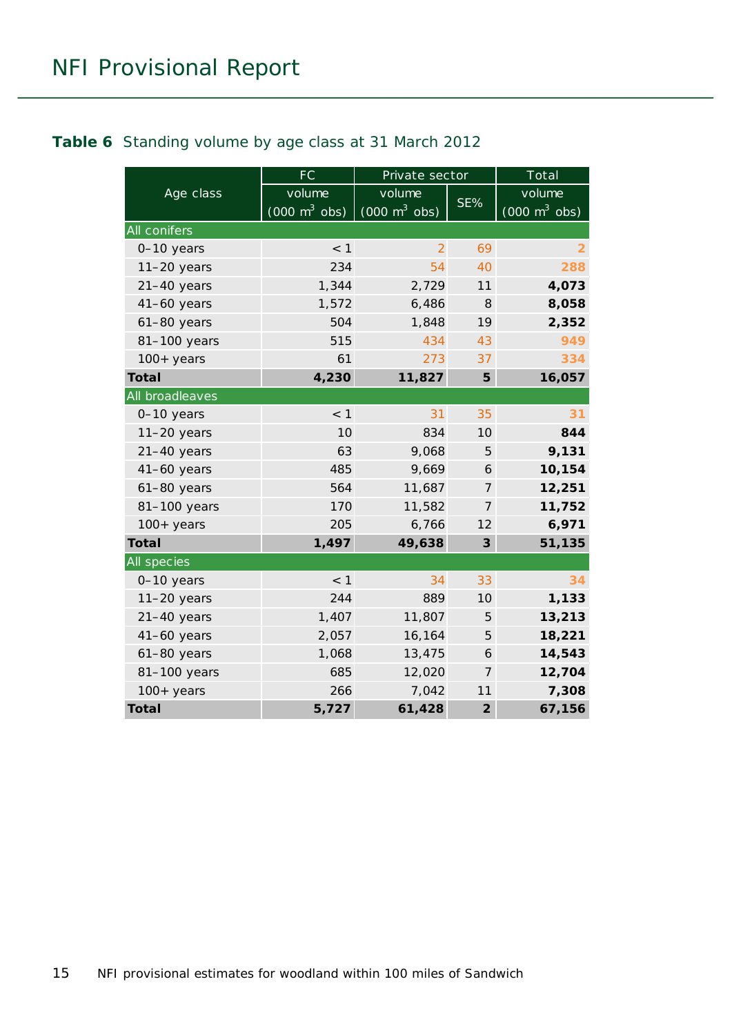#### <span id="page-14-0"></span>**Table 6** Standing volume by age class at 31 March 2012

|                 | <b>FC</b>                       | Private sector                  |                | Total                           |
|-----------------|---------------------------------|---------------------------------|----------------|---------------------------------|
| Age class       | volume                          | volume                          | SE%            | volume                          |
|                 | $(000 \text{ m}^3 \text{ obs})$ | $(000 \text{ m}^3 \text{ obs})$ |                | $(000 \text{ m}^3 \text{ obs})$ |
| All conifers    |                                 |                                 |                |                                 |
| 0-10 years      | < 1                             | $\overline{2}$                  | 69             | 2                               |
| $11-20$ years   | 234                             | 54                              | 40             | 288                             |
| $21-40$ years   | 1,344                           | 2,729                           | 11             | 4,073                           |
| $41-60$ years   | 1,572                           | 6,486                           | 8              | 8,058                           |
| $61-80$ years   | 504                             | 1,848                           | 19             | 2,352                           |
| 81-100 years    | 515                             | 434                             | 43             | 949                             |
| $100+$ years    | 61                              | 273                             | 37             | 334                             |
| <b>Total</b>    | 4,230                           | 11,827                          | 5              | 16,057                          |
| All broadleaves |                                 |                                 |                |                                 |
| 0-10 years      | $<$ 1                           | 31                              | 35             | 31                              |
| $11-20$ years   | 10                              | 834                             | 10             | 844                             |
| $21-40$ years   | 63                              | 9,068                           | 5              | 9,131                           |
| $41-60$ years   | 485                             | 9,669                           | 6              | 10,154                          |
| $61-80$ years   | 564                             | 11,687                          | 7              | 12,251                          |
| 81-100 years    | 170                             | 11,582                          | 7              | 11,752                          |
| $100+$ years    | 205                             | 6,766                           | 12             | 6,971                           |
| <b>Total</b>    | 1,497                           | 49,638                          | $\mathfrak{z}$ | 51,135                          |
| All species     |                                 |                                 |                |                                 |
| 0-10 years      | < 1                             | 34                              | 33             | 34                              |
| $11-20$ years   | 244                             | 889                             | 10             | 1,133                           |
| $21-40$ years   | 1,407                           | 11,807                          | 5              | 13,213                          |
| 41-60 years     | 2,057                           | 16,164                          | 5              | 18,221                          |
| $61-80$ years   | 1,068                           | 13,475                          | 6              | 14,543                          |
| 81-100 years    | 685                             | 12,020                          | 7              | 12,704                          |
| $100+$ years    | 266                             | 7,042                           | 11             | 7,308                           |
| <b>Total</b>    | 5,727                           | 61,428                          | $\overline{2}$ | 67,156                          |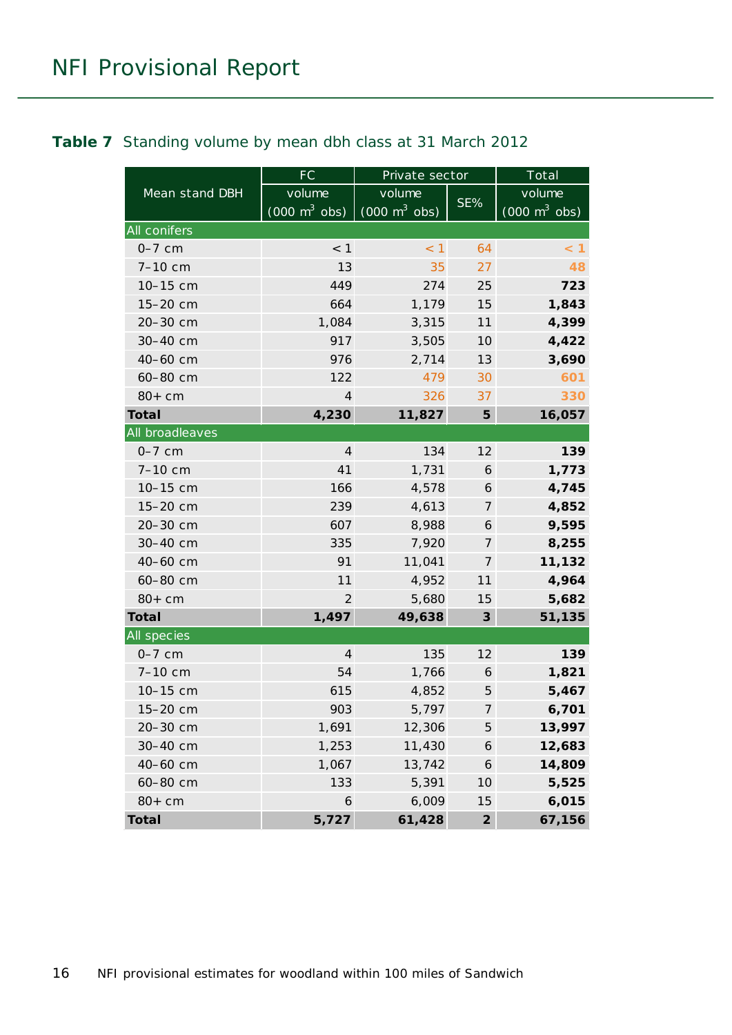<span id="page-15-0"></span>

|                     | FC                                  | Private sector                  |                 | Total                               |
|---------------------|-------------------------------------|---------------------------------|-----------------|-------------------------------------|
| Mean stand DBH      | volume                              | volume                          |                 | volume                              |
|                     | $(000 \; \text{m}^3 \; \text{obs})$ | $(000 \text{ m}^3 \text{ obs})$ | SE%             | $(000 \; \text{m}^3 \; \text{obs})$ |
| <b>All conifers</b> |                                     |                                 |                 |                                     |
| $0-7$ cm            | < 1                                 | < 1                             | 64              | < 1                                 |
| 7-10 cm             | 13                                  | 35                              | 27              | 48                                  |
| 10-15 cm            | 449                                 | 274                             | 25              | 723                                 |
| 15-20 cm            | 664                                 | 1,179                           | 15              | 1,843                               |
| 20-30 cm            | 1,084                               | 3,315                           | 11              | 4,399                               |
| 30-40 cm            | 917                                 | 3,505                           | 10              | 4,422                               |
| 40-60 cm            | 976                                 | 2,714                           | 13              | 3,690                               |
| 60-80 cm            | 122                                 | 479                             | 30              | 601                                 |
| $80+cm$             | $\overline{4}$                      | 326                             | 37              | 330                                 |
| <b>Total</b>        | 4,230                               | 11,827                          | $5\overline{)}$ | 16,057                              |
| All broadleaves     |                                     |                                 |                 |                                     |
| $0-7$ cm            | $\overline{4}$                      | 134                             | 12              | 139                                 |
| 7-10 cm             | 41                                  | 1,731                           | 6               | 1,773                               |
| 10-15 cm            | 166                                 | 4,578                           | 6               | 4,745                               |
| 15-20 cm            | 239                                 | 4,613                           | $\overline{7}$  | 4,852                               |
| 20-30 cm            | 607                                 | 8,988                           | 6               | 9,595                               |
| 30-40 cm            | 335                                 | 7,920                           | $\overline{7}$  | 8,255                               |
| 40-60 cm            | 91                                  | 11,041                          | $\overline{7}$  | 11,132                              |
| 60-80 cm            | 11                                  | 4,952                           | 11              | 4,964                               |
| $80+cm$             | 2                                   | 5,680                           | 15              | 5,682                               |
| <b>Total</b>        | 1,497                               | 49,638                          | $\mathbf{3}$    | 51,135                              |
| All species         |                                     |                                 |                 |                                     |
| $0-7$ cm            | $\overline{4}$                      | 135                             | 12              | 139                                 |
| 7-10 cm             | 54                                  | 1,766                           | 6               | 1,821                               |
| 10-15 cm            | 615                                 | 4,852                           | $\sqrt{5}$      | 5,467                               |
| 15-20 cm            | 903                                 | 5,797                           | 7               | 6,701                               |
| 20-30 cm            | 1,691                               | 12,306                          | 5               | 13,997                              |
| 30-40 cm            | 1,253                               | 11,430                          | 6               | 12,683                              |
| 40-60 cm            | 1,067                               | 13,742                          | 6               | 14,809                              |
| 60-80 cm            | 133                                 | 5,391                           | 10              | 5,525                               |
| $80+cm$             | 6                                   | 6,009                           | 15              | 6,015                               |
| <b>Total</b>        | 5,727                               | 61,428                          | $\overline{2}$  | 67,156                              |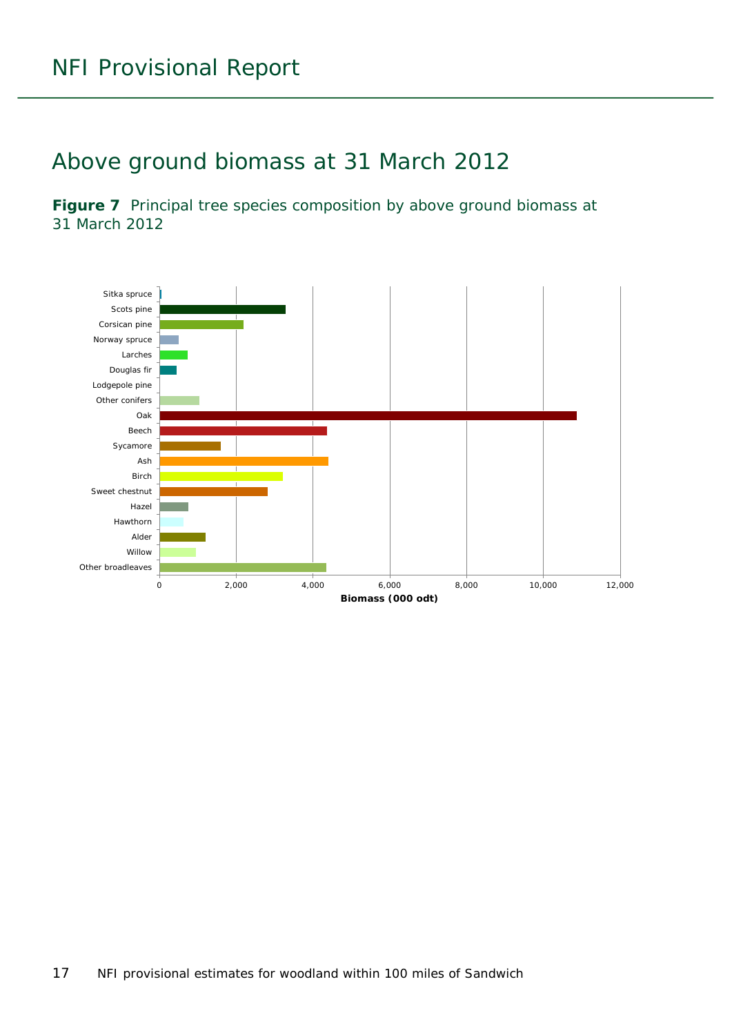### <span id="page-16-0"></span>Above ground biomass at 31 March 2012

<span id="page-16-1"></span>Figure 7 Principal tree species composition by above ground biomass at 31 March 2012

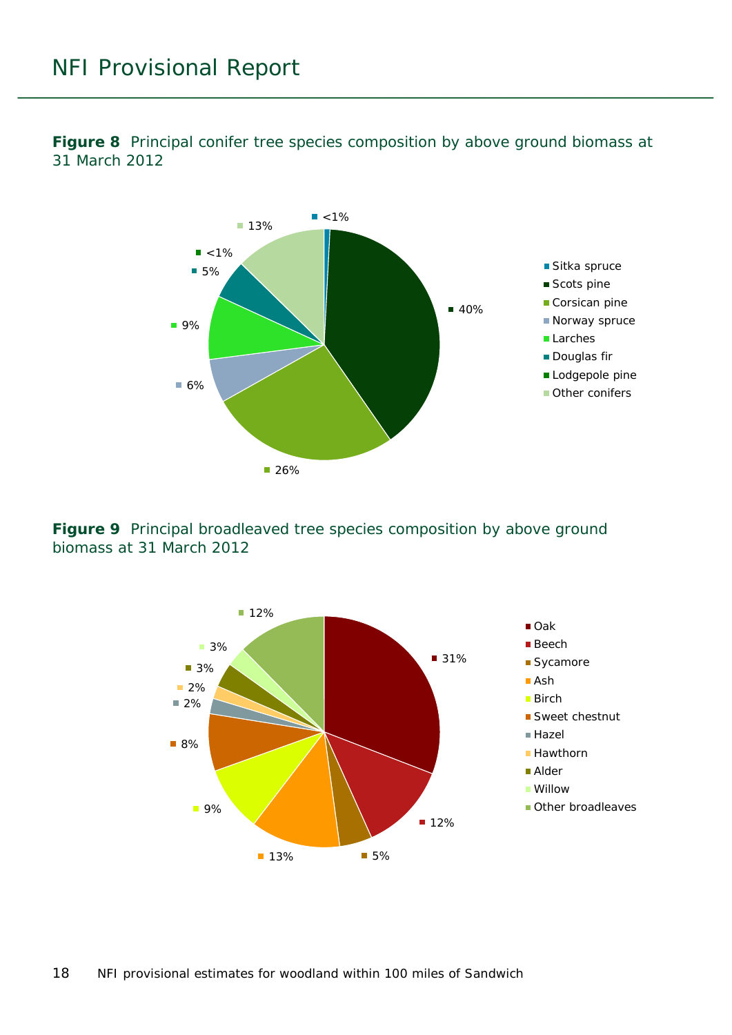<span id="page-17-0"></span>**Figure 8** Principal conifer tree species composition by above ground biomass at 31 March 2012



<span id="page-17-1"></span>**Figure 9** Principal broadleaved tree species composition by above ground biomass at 31 March 2012

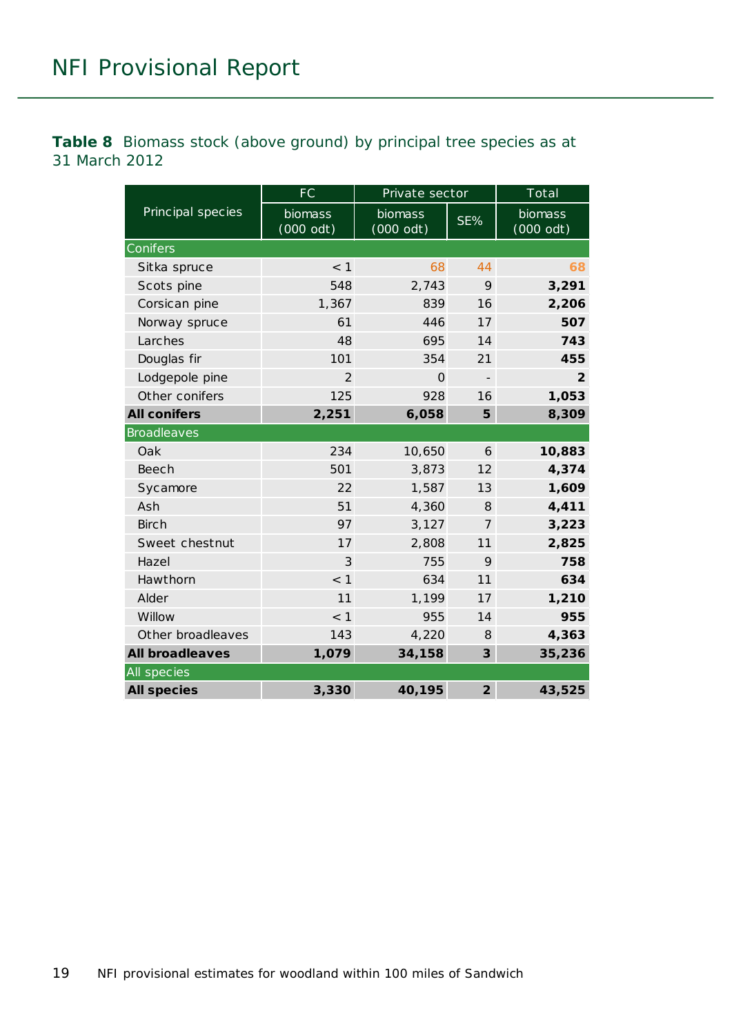<span id="page-18-0"></span>**Table 8** Biomass stock (above ground) by principal tree species as at 31 March 2012

|                        | <b>FC</b>              | Private sector         |                          | Total                  |  |  |
|------------------------|------------------------|------------------------|--------------------------|------------------------|--|--|
| Principal species      | biomass<br>$(000$ odt) | biomass<br>$(000$ odt) | SE%                      | biomass<br>$(000$ odt) |  |  |
| Conifers               |                        |                        |                          |                        |  |  |
| Sitka spruce           | < 1                    | 68                     | 44                       | 68                     |  |  |
| Scots pine             | 548                    | 2,743                  | 9                        | 3,291                  |  |  |
| Corsican pine          | 1,367                  | 839                    | 16                       | 2,206                  |  |  |
| Norway spruce          | 61                     | 446                    | 17                       | 507                    |  |  |
| Larches                | 48                     | 695                    | 14                       | 743                    |  |  |
| Douglas fir            | 101                    | 354                    | 21                       | 455                    |  |  |
| Lodgepole pine         | 2                      | $\Omega$               | $\overline{\phantom{a}}$ | $\overline{2}$         |  |  |
| Other conifers         | 125                    | 928                    | 16                       | 1,053                  |  |  |
| <b>All conifers</b>    | 2,251                  | 6,058                  | 5                        | 8,309                  |  |  |
| <b>Broadleaves</b>     |                        |                        |                          |                        |  |  |
| Oak                    | 234                    | 10,650                 | 6                        | 10,883                 |  |  |
| <b>Beech</b>           | 501                    | 3,873                  | 12                       | 4,374                  |  |  |
| Sycamore               | 22                     | 1,587                  | 13                       | 1,609                  |  |  |
| Ash                    | 51                     | 4,360                  | 8                        | 4,411                  |  |  |
| <b>Birch</b>           | 97                     | 3,127                  | 7                        | 3,223                  |  |  |
| Sweet chestnut         | 17                     | 2,808                  | 11                       | 2,825                  |  |  |
| Hazel                  | 3                      | 755                    | 9                        | 758                    |  |  |
| Hawthorn               | $<$ 1                  | 634                    | 11                       | 634                    |  |  |
| Alder                  | 11                     | 1,199                  | 17                       | 1,210                  |  |  |
| Willow                 | $<$ 1                  | 955                    | 14                       | 955                    |  |  |
| Other broadleaves      | 143                    | 4,220                  | 8                        | 4,363                  |  |  |
| <b>All broadleaves</b> | 1,079                  | 34,158                 | 3                        | 35,236                 |  |  |
| All species            |                        |                        |                          |                        |  |  |
| <b>All species</b>     | 3,330                  | 40,195                 | $\overline{2}$           | 43,525                 |  |  |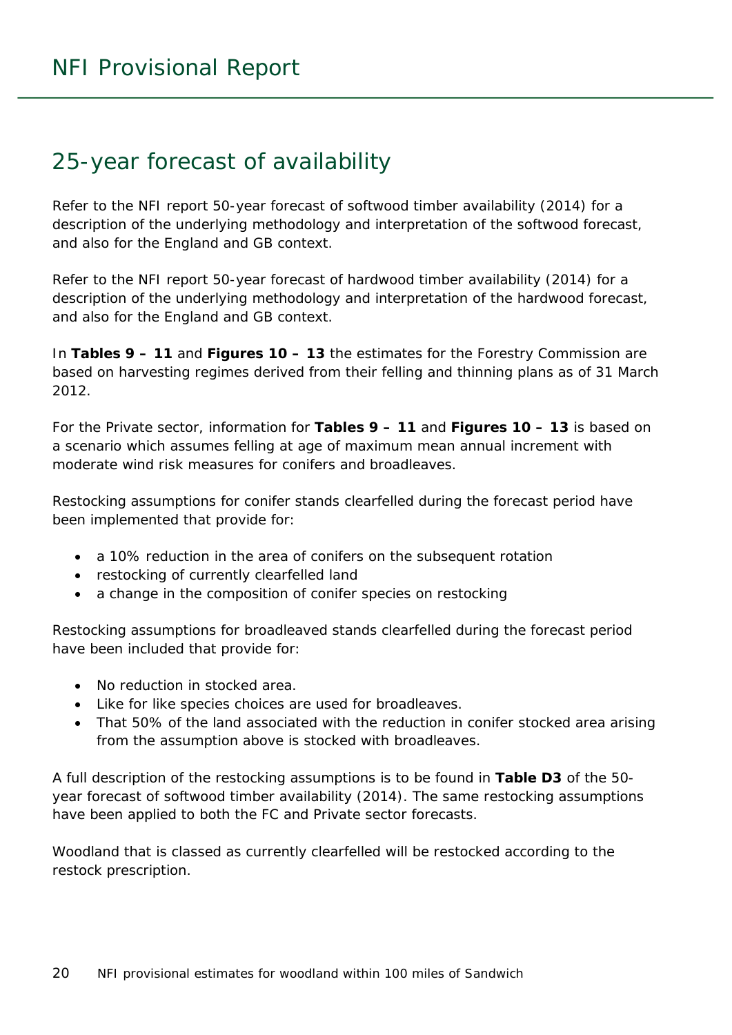### <span id="page-19-0"></span>25-year forecast of availability

Refer to the NFI report *50-year forecast of softwood timber availability* (2014) for a description of the underlying methodology and interpretation of the softwood forecast, and also for the England and GB context.

Refer to the NFI report *50-year forecast of hardwood timber availability* (2014) for a description of the underlying methodology and interpretation of the hardwood forecast, and also for the England and GB context.

In **Tables 9 – 11** and **Figures 10 – 13** the estimates for the Forestry Commission are based on harvesting regimes derived from their felling and thinning plans as of 31 March 2012.

For the Private sector, information for **Tables 9 – 11** and **Figures 10 – 13** is based on a scenario which assumes felling at age of maximum mean annual increment with moderate wind risk measures for conifers and broadleaves.

Restocking assumptions for conifer stands clearfelled during the forecast period have been implemented that provide for:

- a 10% reduction in the area of conifers on the subsequent rotation
- restocking of currently clearfelled land
- a change in the composition of conifer species on restocking

Restocking assumptions for broadleaved stands clearfelled during the forecast period have been included that provide for:

- No reduction in stocked area.
- Like for like species choices are used for broadleaves.
- That 50% of the land associated with the reduction in conifer stocked area arising from the assumption above is stocked with broadleaves.

A full description of the restocking assumptions is to be found in **Table D3** of the *50 year forecast of softwood timber availability* (2014). The same restocking assumptions have been applied to both the FC and Private sector forecasts.

Woodland that is classed as currently clearfelled will be restocked according to the restock prescription.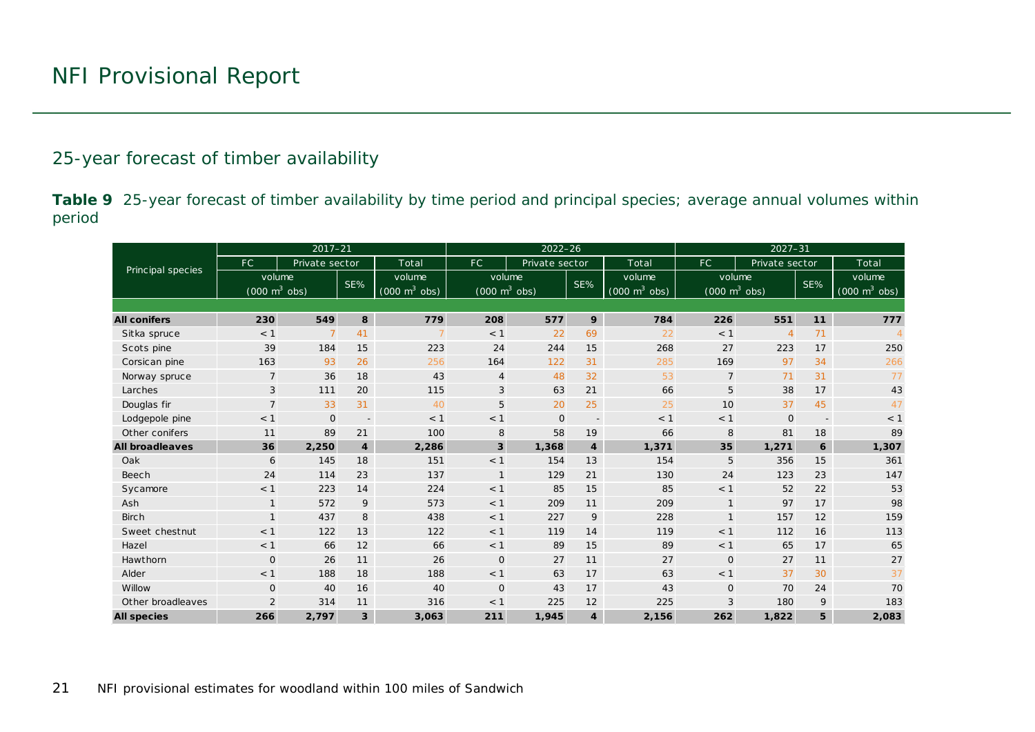#### 25-year forecast of timber availability

**Table 9** 25-year forecast of timber availability by time period and principal species; average annual volumes within period

<span id="page-20-0"></span>

|                        |                                     | $2017 - 21$    |                          |                                     |                                     | $2022 - 26$    |                          |                                     | $2027 - 31$                         |                |                          |                                     |  |  |
|------------------------|-------------------------------------|----------------|--------------------------|-------------------------------------|-------------------------------------|----------------|--------------------------|-------------------------------------|-------------------------------------|----------------|--------------------------|-------------------------------------|--|--|
| Principal species      | <b>FC</b>                           | Private sector |                          | Total                               | FC                                  | Private sector |                          | Total                               | FC.                                 | Private sector |                          | Total                               |  |  |
|                        | volume                              |                | SE%                      | volume                              | volume                              |                | SE%                      | volume                              | volume                              |                | SE%                      | volume                              |  |  |
|                        | $(000 \; \text{m}^3 \; \text{obs})$ |                |                          | $(000 \; \text{m}^3 \; \text{obs})$ | $(000 \; \text{m}^3 \; \text{obs})$ |                |                          | $(000 \; \text{m}^3 \; \text{obs})$ | $(000 \; \text{m}^3 \; \text{obs})$ |                |                          | $(000 \; \text{m}^3 \; \text{obs})$ |  |  |
|                        |                                     |                |                          |                                     |                                     |                |                          |                                     |                                     |                |                          |                                     |  |  |
| <b>All conifers</b>    | 230                                 | 549            | 8                        | 779                                 | 208                                 | 577            | 9                        | 784                                 | 226                                 | 551            | 11                       | 777                                 |  |  |
| Sitka spruce           | < 1                                 | 7              | 41                       |                                     | < 1                                 | 22             | 69                       | 22                                  | < 1                                 | $\overline{4}$ | 71                       |                                     |  |  |
| Scots pine             | 39                                  | 184            | 15                       | 223                                 | 24                                  | 244            | 15                       | 268                                 | 27                                  | 223            | 17                       | 250                                 |  |  |
| Corsican pine          | 163                                 | 93             | 26                       | 256                                 | 164                                 | 122            | 31                       | 285                                 | 169                                 | 97             | 34                       | 266                                 |  |  |
| Norway spruce          | $\overline{7}$                      | 36             | 18                       | 43                                  | $\overline{4}$                      | 48             | 32                       | 53                                  | $\overline{7}$                      | 71             | 31                       | 77                                  |  |  |
| Larches                | 3                                   | 111            | 20                       | 115                                 | 3                                   | 63             | 21                       | 66                                  | $5\phantom{.0}$                     | 38             | 17                       | 43                                  |  |  |
| Douglas fir            | $\overline{7}$                      | 33             | 31                       | 40                                  | 5                                   | 20             | 25                       | 25                                  | 10                                  | 37             | 45                       | 47                                  |  |  |
| Lodgepole pine         | < 1                                 | $\overline{0}$ | $\overline{\phantom{a}}$ | < 1                                 | < 1                                 | $\mathbf 0$    | $\overline{\phantom{a}}$ | < 1                                 | < 1                                 | $\overline{0}$ | $\overline{\phantom{a}}$ | < 1                                 |  |  |
| Other conifers         | 11                                  | 89             | 21                       | 100                                 | 8                                   | 58             | 19                       | 66                                  | 8                                   | 81             | 18                       | 89                                  |  |  |
| <b>All broadleaves</b> | 36                                  | 2,250          | $\boldsymbol{4}$         | 2,286                               | $\overline{\mathbf{3}}$             | 1,368          | $\boldsymbol{4}$         | 1,371                               | 35                                  | 1,271          | 6                        | 1,307                               |  |  |
| Oak                    | 6                                   | 145            | 18                       | 151                                 | < 1                                 | 154            | 13                       | 154                                 | 5                                   | 356            | 15                       | 361                                 |  |  |
| Beech                  | 24                                  | 114            | 23                       | 137                                 | $\mathbf{1}$                        | 129            | 21                       | 130                                 | 24                                  | 123            | 23                       | 147                                 |  |  |
| Sycamore               | < 1                                 | 223            | 14                       | 224                                 | < 1                                 | 85             | 15                       | 85                                  | < 1                                 | 52             | 22                       | 53                                  |  |  |
| Ash                    | $\mathbf{1}$                        | 572            | 9                        | 573                                 | < 1                                 | 209            | 11                       | 209                                 | $\mathbf{1}$                        | 97             | 17                       | 98                                  |  |  |
| <b>Birch</b>           | $\mathbf{1}$                        | 437            | 8                        | 438                                 | < 1                                 | 227            | 9                        | 228                                 | $\mathbf{1}$                        | 157            | 12                       | 159                                 |  |  |
| Sweet chestnut         | < 1                                 | 122            | 13                       | 122                                 | < 1                                 | 119            | 14                       | 119                                 | < 1                                 | 112            | 16                       | 113                                 |  |  |
| Hazel                  | < 1                                 | 66             | 12                       | 66                                  | < 1                                 | 89             | 15                       | 89                                  | < 1                                 | 65             | 17                       | 65                                  |  |  |
| Hawthorn               | $\mathbf{O}$                        | 26             | 11                       | 26                                  | $\mathbf{O}$                        | 27             | 11                       | 27                                  | $\mathbf 0$                         | 27             | 11                       | 27                                  |  |  |
| Alder                  | < 1                                 | 188            | 18                       | 188                                 | < 1                                 | 63             | 17                       | 63                                  | < 1                                 | 37             | 30                       | 37                                  |  |  |
| Willow                 | $\mathsf{O}$                        | 40             | 16                       | 40                                  | $\mathbf 0$                         | 43             | 17                       | 43                                  | $\mathbf 0$                         | 70             | 24                       | 70                                  |  |  |
| Other broadleaves      | $\overline{2}$                      | 314            | 11                       | 316                                 | $<$ 1                               | 225            | 12                       | 225                                 | 3                                   | 180            | 9                        | 183                                 |  |  |
| <b>All species</b>     | 266<br>2,797                        |                | 3                        | 3,063                               | 211                                 | 1,945          | $\overline{4}$           | 2,156                               | 262                                 | 1,822          | 5                        | 2,083                               |  |  |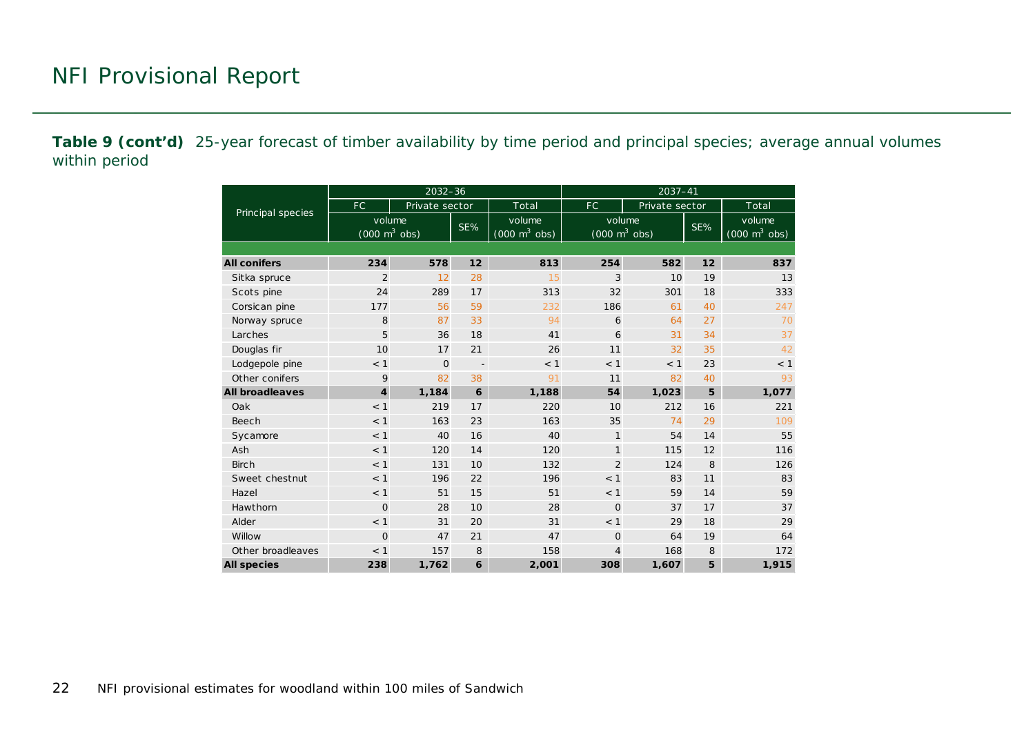**Table 9 (cont'd)** 25-year forecast of timber availability by time period and principal species; average annual volumes within period

|                        |                                               | $2032 - 36$    |                          |                                               | 2037-41        |                                                      |    |       |  |  |  |
|------------------------|-----------------------------------------------|----------------|--------------------------|-----------------------------------------------|----------------|------------------------------------------------------|----|-------|--|--|--|
| Principal species      | FC                                            | Private sector |                          | Total                                         | FC.            | Private sector                                       |    | Total |  |  |  |
|                        | volume<br>$(000 \; \text{m}^3 \; \text{obs})$ |                | SE%                      | volume<br>$(000 \, \text{m}^3 \, \text{obs})$ |                | volume<br>SE%<br>$(000 \; \text{m}^3 \; \text{obs})$ |    |       |  |  |  |
|                        |                                               |                |                          |                                               |                |                                                      |    |       |  |  |  |
| <b>All conifers</b>    | 234                                           | 578            | 12                       | 813                                           | 254            | 582                                                  | 12 | 837   |  |  |  |
| Sitka spruce           | $\overline{2}$                                | 12             | 28                       | 15                                            | 3              | 10                                                   | 19 | 13    |  |  |  |
| Scots pine             | 24<br>289                                     |                | 17                       | 313                                           | 32             | 301                                                  | 18 | 333   |  |  |  |
| Corsican pine          | 177<br>56                                     |                | 59                       | 232                                           | 186            | 61                                                   | 40 | 247   |  |  |  |
| Norway spruce          | 8                                             | 87             | 33                       | 94                                            | 6              | 64                                                   | 27 | 70    |  |  |  |
| Larches                | 5                                             |                | 18                       | 41                                            | 6              | 31                                                   | 34 | 37    |  |  |  |
| Douglas fir            | 10<br>17                                      |                | 21                       | 26                                            | 11             | 32                                                   | 35 | 42    |  |  |  |
| Lodgepole pine         | < 1<br>$\mathbf 0$                            |                | $\overline{\phantom{a}}$ | < 1                                           | < 1            | < 1                                                  | 23 | < 1   |  |  |  |
| Other conifers         | 9                                             | 82             | 38                       | 91                                            | 11             | 82                                                   | 40 | 93    |  |  |  |
| <b>All broadleaves</b> | $\overline{\mathbf{4}}$                       | 1,184          | 6                        | 1,188                                         | 54             | 1,023                                                | 5  | 1,077 |  |  |  |
| Oak                    | < 1                                           | 219            | 17                       | 220                                           | 10             | 212                                                  | 16 | 221   |  |  |  |
| Beech                  | < 1                                           | 163            | 23                       | 163                                           | 35             | 74                                                   | 29 | 109   |  |  |  |
| Sycamore               | < 1                                           | 40             | 16                       | 40                                            | $\mathbf{1}$   | 54                                                   | 14 | 55    |  |  |  |
| Ash                    | < 1                                           | 120            | 14                       | 120                                           | $\mathbf{1}$   | 115                                                  | 12 | 116   |  |  |  |
| <b>Birch</b>           | < 1                                           | 131            | 10                       | 132                                           | $\overline{2}$ | 124                                                  | 8  | 126   |  |  |  |
| Sweet chestnut         | < 1                                           | 196            | 22                       | 196                                           | < 1            | 83                                                   | 11 | 83    |  |  |  |
| Hazel                  | < 1                                           | 51             | 15                       | 51                                            | < 1            | 59                                                   | 14 | 59    |  |  |  |
| Hawthorn               | $\mathbf 0$<br>28                             |                | 10                       | 28                                            | $\Omega$       | 37                                                   | 17 | 37    |  |  |  |
| Alder                  | < 1                                           | 31             | 20                       | 31                                            | < 1            | 29                                                   | 18 | 29    |  |  |  |
| Willow                 | $\mathbf 0$                                   | 47             | 21                       | 47                                            | $\Omega$       | 64                                                   | 19 | 64    |  |  |  |
| Other broadleaves      | < 1                                           | 157            | 8                        | 158                                           | $\overline{4}$ | 168                                                  | 8  | 172   |  |  |  |
| <b>All species</b>     | 238                                           | 1,762          | 6                        | 2,001                                         | 308            | 1,607                                                | 5  | 1,915 |  |  |  |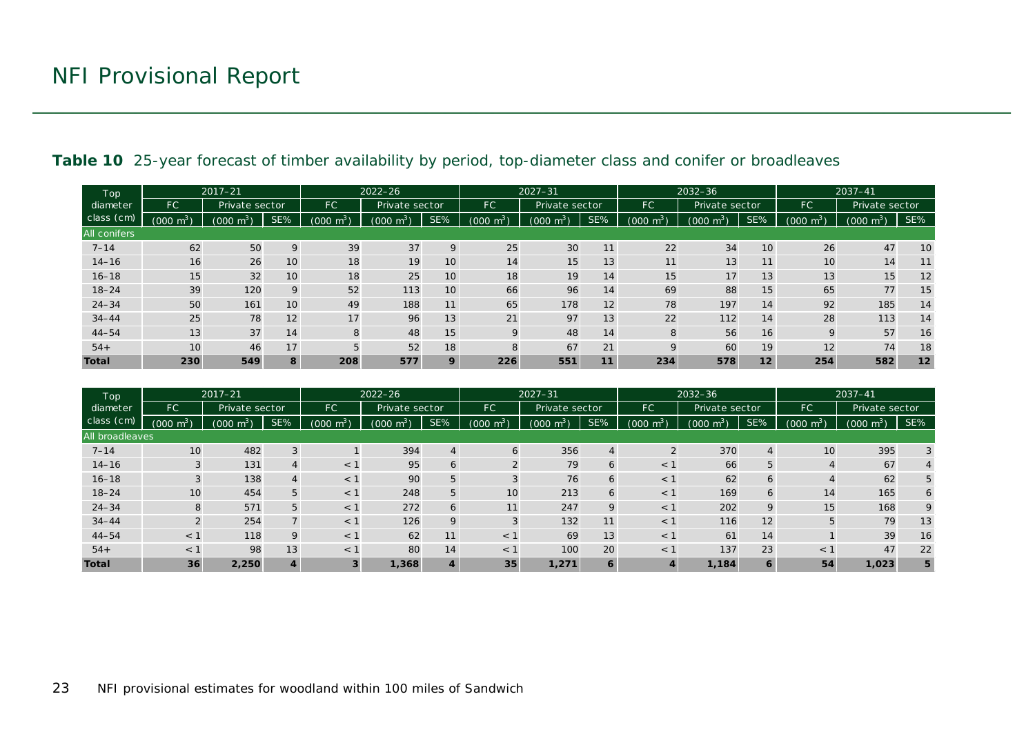| Top                 |                           | $2017 - 21$             |     | $2022 - 26$           |            |     | $2027 - 31$                |                         |     |                            | 2032-36               |                 | $2037 - 41$                   |                     |     |
|---------------------|---------------------------|-------------------------|-----|-----------------------|------------|-----|----------------------------|-------------------------|-----|----------------------------|-----------------------|-----------------|-------------------------------|---------------------|-----|
| diameter            | <b>FC</b>                 | Private sector          |     | FC.<br>Private sector |            | FC  | Private sector             |                         | FC  | Private sector             |                       | <b>FC</b>       | Private sector                |                     |     |
| class (cm)          | $m^3$<br>000 <sub>1</sub> | (000)<br>m <sup>3</sup> | SE% | $(000 \; \text{m}^3)$ | (000)<br>m | SE% | ⊢m <sup>3</sup> ി<br>(000) | (000)<br>$\mathbf{m}^3$ | SE% | ⊤m <sup>3</sup> `<br>(000) | $(000 \; \text{m}^3)$ | SE%             | $\mu$ m <sup>3</sup><br>(000) | $(000 \text{ m}^3)$ | SE% |
| <b>All conifers</b> |                           |                         |     |                       |            |     |                            |                         |     |                            |                       |                 |                               |                     |     |
| $7 - 14$            | 62                        | 50                      | 9   | 39                    | 37         | 9   | 25                         | 30                      | 11  | 22                         | 34                    | 10 <sup>1</sup> | 26                            | 47                  | 10  |
| $14 - 16$           | 16                        | 26                      | 10  | 18                    | 19         | 10  | 14                         | 15                      | 13  | 11                         | 13                    | 11              | 10                            | 14                  | 11  |
| $16 - 18$           | 15                        | 32                      | 10  | 18                    | 25         | 10  | 18                         | 19                      | 14  | 15                         | 17 <sup>1</sup>       | 13              | 13                            | 15                  | 12  |
| $18 - 24$           | 39                        | 120                     | 9   | 52                    | 113        | 10  | 66                         | 96                      | 14  | 69                         | 88                    | 15              | 65                            | 77                  | 15  |
| $24 - 34$           | 50                        | 161                     | 10  | 49                    | 188        | 11  | 65                         | 178                     | 12  | 78                         | 197                   | 14              | 92                            | 185                 | 14  |
| $34 - 44$           | 25                        | 78                      | 12  | 17                    | 96         | 13  | 21                         | 97                      | 13  | 22                         | 112                   | 14              | 28                            | 113                 | 14  |
| $44 - 54$           | 13                        | 37                      | 14  | 8                     | 48         | 15  | 9                          | 48                      | 14  | 8                          | 56                    | 16              | 9                             | 57                  | 16  |
| $54+$               | 10                        | 46                      | 17  | 5                     | 52         | 18  | 8                          | 67                      | 21  | $\Omega$                   | 60                    | 19              | 12                            | 74                  | 18  |
| <b>Total</b>        | 230                       | 549                     | 8   | 208                   | 577        | 9   | 226                        | 551                     | 11  | 234                        | 578                   | 12              | 254                           | 582                 | 12  |

#### Table 10 25-year forecast of timber availability by period, top-diameter class and conifer or broadleaves

<span id="page-22-0"></span>

| Top             | $2017 - 21$         |                           |                | $2022 - 26$    |                       |                  | $2027 - 31$         |                |                |                | $2032 - 36$    |                | $2037 - 41$         |                |                |
|-----------------|---------------------|---------------------------|----------------|----------------|-----------------------|------------------|---------------------|----------------|----------------|----------------|----------------|----------------|---------------------|----------------|----------------|
| diameter        | FC.                 | Private sector            |                | <b>FC</b>      | Private sector        |                  | <b>FC</b>           | Private sector |                | <b>FC</b>      | Private sector |                | <b>FC</b>           | Private sector |                |
| class (cm)      | $(000 \text{ m}^3)$ | $\mathbf{m}^{3}$<br>(000) | SE%            | $m^3$<br>(000) | $\sqrt{m^3}$<br>(000) | SE%              | $(000 \text{ m}^3)$ | $m^3$<br>(000) | SE%            | $m^3$<br>(000) | $m^3$<br>(000) | SE%            | $(000 \text{ m}^3)$ | $m^3$<br>(000) | SE%            |
| All broadleaves |                     |                           |                |                |                       |                  |                     |                |                |                |                |                |                     |                |                |
| $7 - 14$        | 10                  | 482                       | 3              |                | 394                   | $\overline{4}$   | 6                   | 356            | $\overline{4}$ | $\overline{2}$ | 370            | $\overline{4}$ | 10                  | 395            | 3              |
| $14 - 16$       |                     | 131                       | $\overline{4}$ | $<$ 1          | 95                    | 6                |                     | 79             | 6              | $<$ 1          | 66             | 5              |                     | 67             | $\overline{4}$ |
| $16 - 18$       |                     | 138                       | $\overline{4}$ | $<$ 1          | 90                    | 5                |                     | 76             | 6              | $<$ 1          | 62             | 6              |                     | 62             | 5              |
| $18 - 24$       | 10                  | 454                       | 5              | $<$ 1          | 248                   | 5                | 10                  | 213            | 6              | $<$ 1          | 169            | 6              | 14                  | 165            | 6              |
| $24 - 34$       | 8                   | 571                       | 5              | $<$ 1          | 272                   | 6                | 11                  | 247            | 9              | $<$ 1          | 202            | 9              | 15                  | 168            | 9              |
| $34 - 44$       | $\overline{2}$      | 254                       |                | $<$ 1          | 126                   | 9                | 3                   | 132            | 11             | $<$ 1          | 116            | 12             |                     | 79             | 13             |
| $44 - 54$       | $<$ 1               | 118                       | 9              | $<$ 1          | 62                    | 11               | $<$ 1               | 69             | 13             | $<$ 1          | 61             | 14             |                     | 39             | 16             |
| $54+$           | $<$ 1               | 98                        | 13             | $<$ 1          | 80                    | 14               | $<$ 1               | 100            | 20             | $<$ 1          | 137            | 23             | < 1                 | 47             | 22             |
| <b>Total</b>    | 36                  | 2,250                     | 4              | 3              | 1,368                 | $\boldsymbol{4}$ | 35                  | 1,271          | 6              | 4              | 1,184          | 6              | 54                  | 1,023          | 5              |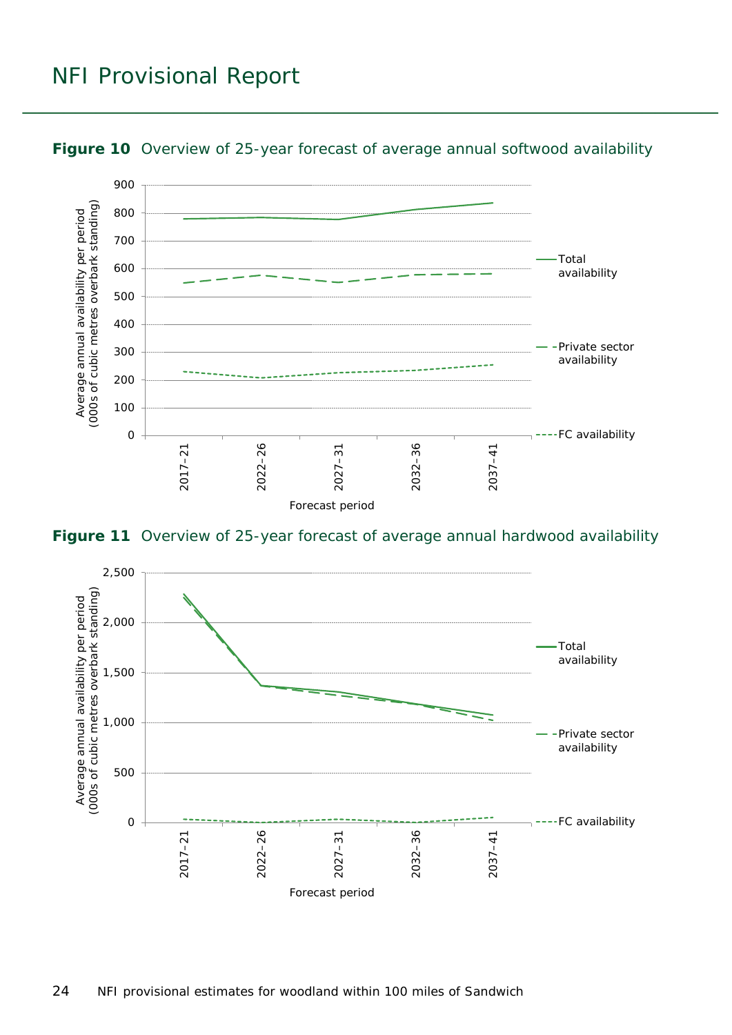### NFI Provisional Report



#### <span id="page-23-0"></span>**Figure 10** Overview of 25-year forecast of average annual softwood availability

<span id="page-23-1"></span>**Figure 11** Overview of 25-year forecast of average annual hardwood availability

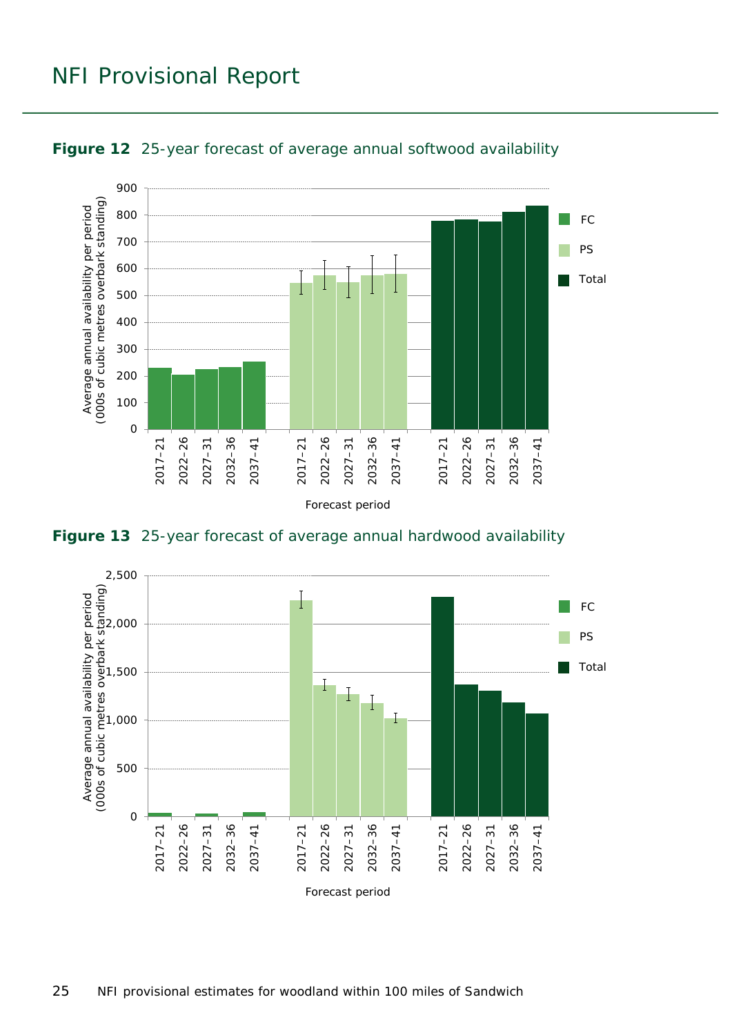### NFI Provisional Report



<span id="page-24-0"></span>

<span id="page-24-1"></span>**Figure 13** 25-year forecast of average annual hardwood availability

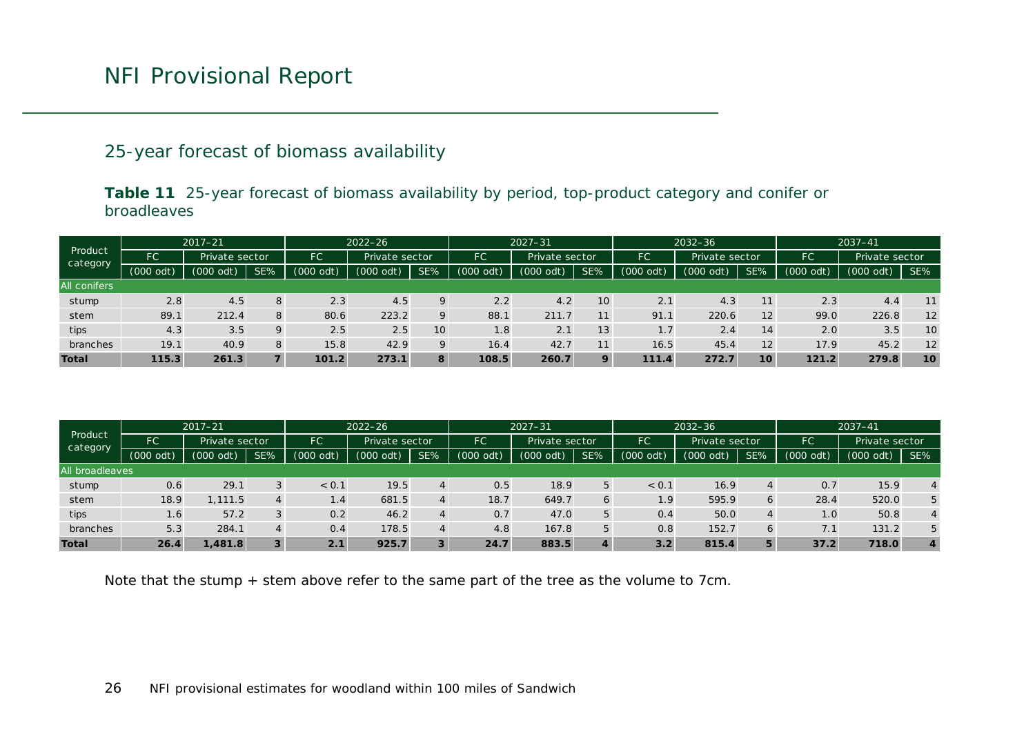### 25-year forecast of biomass availability

|             | Table 11 25-year forecast of biomass availability by period, top-product category and conifer or |  |  |  |
|-------------|--------------------------------------------------------------------------------------------------|--|--|--|
| broadleaves |                                                                                                  |  |  |  |

| Product<br>category | $2017 - 21$         |                | $2022 - 26$ |                      |               | $2027 - 31$ |             |                |     | $2032 - 36$                 |             | $2037 - 41$ |           |                |     |
|---------------------|---------------------|----------------|-------------|----------------------|---------------|-------------|-------------|----------------|-----|-----------------------------|-------------|-------------|-----------|----------------|-----|
|                     | FC                  | Private sector |             | FC<br>Private sector |               |             | FC          | Private sector |     | <b>FC</b><br>Private sector |             |             | FC        | Private sector |     |
|                     | $(000 \text{ odt})$ | (000<br>odt)   | SE%         | $(000$ odt)          | odt)<br>(000) | SE%         | $(000$ odt) | $(000$ odt)    | SE% | $(000$ odt)                 | $(000$ odt) | SE%         | (000 odt) | $(000$ odt)    | SE% |
| All conifers        |                     |                |             |                      |               |             |             |                |     |                             |             |             |           |                |     |
| stump               | 2.8                 | 4.5            | 8           | 2.3                  | 4.5           | 9           | 2.2         | 4.2            | 10  | 2.1                         | 4.3         | 11          | 2.3       | 4.4            | 11  |
| stem                | 89.1                | 212.4          | 8           | 80.6                 | 223.2         | 9           | 88.1        | 211.7          | 11  | 91.1                        | 220.6       | 12          | 99.0      | 226.8          | 12  |
| tips                | 4.3                 | 3.5            | Q           | 2.5                  | 2.5           | 10          | 1.8         | 2.1            | 13  | 1.7                         | 2.4         | 14          | 2.0       | 3.5            | 10  |
| branches            | 19.1                | 40.9           | 8           | 15.8                 | 42.9          | 9           | 16.4        | 42.7           | 11  | 16.5                        | 45.4        | 12          | 17.9      | 45.2           | 12  |
| <b>Total</b>        | 115.3               | 261.3          |             | 101.2                | 273.1         | 8           | 108.5       | 260.7          | Q   | 111.4                       | 272.7       | 10          | 121.2     | 279.8          | 10  |

<span id="page-25-0"></span>

| Product<br>category | $2017 - 21$         |                | $2022 - 26$    |             |                | $2027 - 31$ |             |                |     | $2032 - 36$ |                | $2037 - 41$ |             |                     |     |
|---------------------|---------------------|----------------|----------------|-------------|----------------|-------------|-------------|----------------|-----|-------------|----------------|-------------|-------------|---------------------|-----|
|                     | FC                  | Private sector |                | FC          | Private sector |             | FC          | Private sector |     | FC          | Private sector |             | <b>FC</b>   | Private sector      |     |
|                     | $(000 \text{ odt})$ | (000<br>odt)   | SE%            | $(000$ odt) | $(000$ odt)    | SE%         | $(000$ odt) | $(000$ odt)    | SE% | (000 odt)   | $(000$ odt)    | SE%         | $(000$ odt) | $(000 \text{ odd})$ | SE% |
| All broadleaves     |                     |                |                |             |                |             |             |                |     |             |                |             |             |                     |     |
| stump               | 0.6                 | 29.1           | 3              | < 0.1       | 19.5           | 4           | 0.5         | 18.9           | 5   | < 0.1       | 16.9           |             | 0.7         | 15.9                |     |
| stem                | 18.9                | 1.111.5        | $\overline{4}$ | $\cdot$ .4  | 681.5          | 4           | 18.7        | 649.7          | 6   | 1.9         | 595.9          | 6           | 28.4        | 520.0               | 5   |
| tips                | 1.6                 | 57.2           |                | 0.2         | 46.2           | 4           | 0.7         | 47.0           | 5   | O.4         | 50.0           |             | 1.0         | 50.8                |     |
| branches            | 5.3                 | 284.1          | $\overline{4}$ | 0.4         | 178.5          | 4           | 4.8         | 167.8          | 5   | 0.8         | 152.7          | 6           | 7.1         | 131.2               | 5   |
| <b>Total</b>        | 26.4                | .481.8         | 3              | 2.1         | 925.7          | 3           | 24.7        | 883.5          | 4   | 3.2         | 815.4          | 5           | 37.2        | 718.0               |     |

Note that the stump + stem above refer to the same part of the tree as the volume to 7cm.